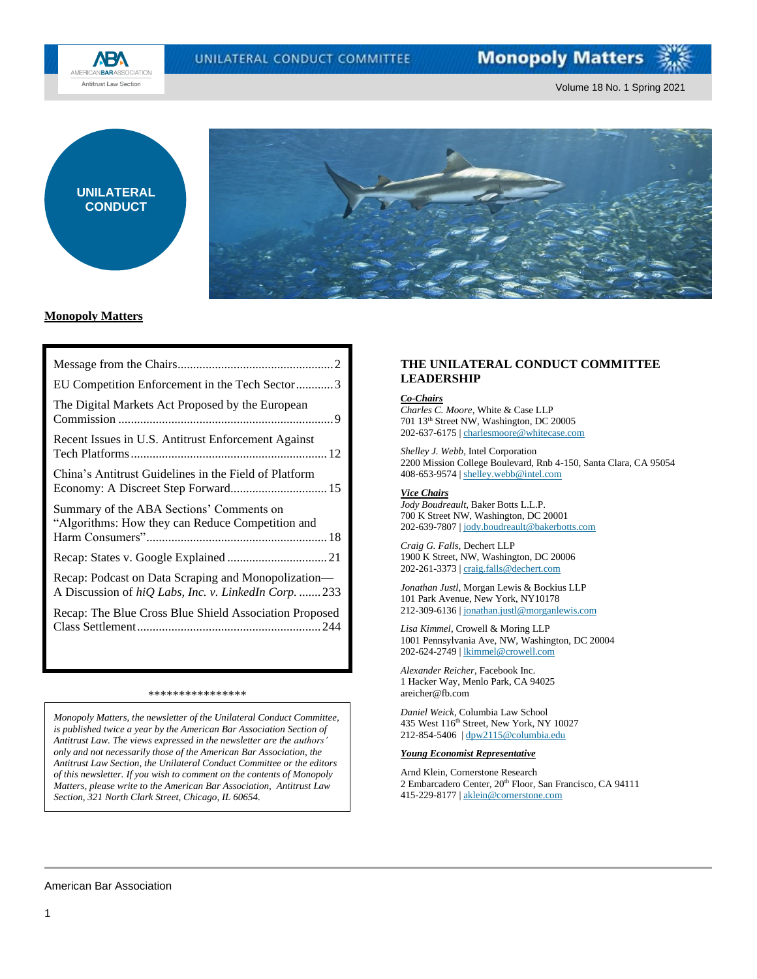UNILATERAL CONDUCT COMMITTEE



Volume 18 No. 1 Spring 2021





## **Monopoly Matters**

| EU Competition Enforcement in the Tech Sector3                                                              |
|-------------------------------------------------------------------------------------------------------------|
| The Digital Markets Act Proposed by the European                                                            |
| Recent Issues in U.S. Antitrust Enforcement Against                                                         |
| China's Antitrust Guidelines in the Field of Platform                                                       |
| Summary of the ABA Sections' Comments on<br>"Algorithms: How they can Reduce Competition and                |
|                                                                                                             |
| Recap: Podcast on Data Scraping and Monopolization—<br>A Discussion of hiQ Labs, Inc. v. LinkedIn Corp. 233 |
| Recap: The Blue Cross Blue Shield Association Proposed                                                      |

#### \*\*\*\*\*\*\*\*\*\*\*\*\*\*\*\*

*Monopoly Matters, the newsletter of the Unilateral Conduct Committee, is published twice a year by the American Bar Association Section of Antitrust Law. The views expressed in the newsletter are the authors' only and not necessarily those of the American Bar Association, the Antitrust Law Section, the Unilateral Conduct Committee or the editors of this newsletter. If you wish to comment on the contents of Monopoly Matters, please write to the American Bar Association, Antitrust Law Section, 321 North Clark Street, Chicago, IL 60654.*

## **THE UNILATERAL CONDUCT COMMITTEE LEADERSHIP**

### *Co-Chairs*

*Charles C. Moore*, White & Case LLP 701 13th Street NW, Washington, DC 20005 202-637-6175 | [charlesmoore@whitecase.com](mailto:charlesmoore@whitecase.com)

*Shelley J. Webb*, Intel Corporation 2200 Mission College Boulevard, Rnb 4-150, Santa Clara, CA 95054 408-653-9574 [| shelley.webb@intel.com](mailto:shelley.webb@intel.com)

*Vice Chairs Jody Boudreault*, Baker Botts L.L.P. 700 K Street NW, Washington, DC 20001 202-639-7807 [| jody.boudreault@bakerbotts.com](mailto:jody.boudreault@bakerbotts.com)

*Craig G. Falls,* Dechert LLP 1900 K Street, NW, Washington, DC 20006 202-261-3373 [| craig.falls@dechert.com](mailto:craig.falls@dechert.com)

*Jonathan Justl*, Morgan Lewis & Bockius LLP 101 Park Avenue, New York, NY10178 212-309-6136 [| jonathan.justl@morganlewis.com](mailto:jonathan.justl@morganlewis.com)

*Lisa Kimmel*, Crowell & Moring LLP 1001 Pennsylvania Ave, NW, Washington, DC 20004 202-624-2749 [| lkimmel@crowell.com](mailto:lkimmel@crowell.com)

*Alexander Reicher*, Facebook Inc. 1 Hacker Way, Menlo Park, CA 94025 areicher@fb.com

*Daniel Weick*, Columbia Law School 435 West 116<sup>th</sup> Street, New York, NY 10027 212-854-5406 | [dpw2115@columbia.edu](mailto:dpw2115@columbia.edu)

#### *Young Economist Representative*

Arnd Klein, Cornerstone Research 2 Embarcadero Center, 20<sup>th</sup> Floor, San Francisco, CA 94111 415-229-8177 [| aklein@cornerstone.com](mailto:aklein@cornerstone.com)

#### American Bar Association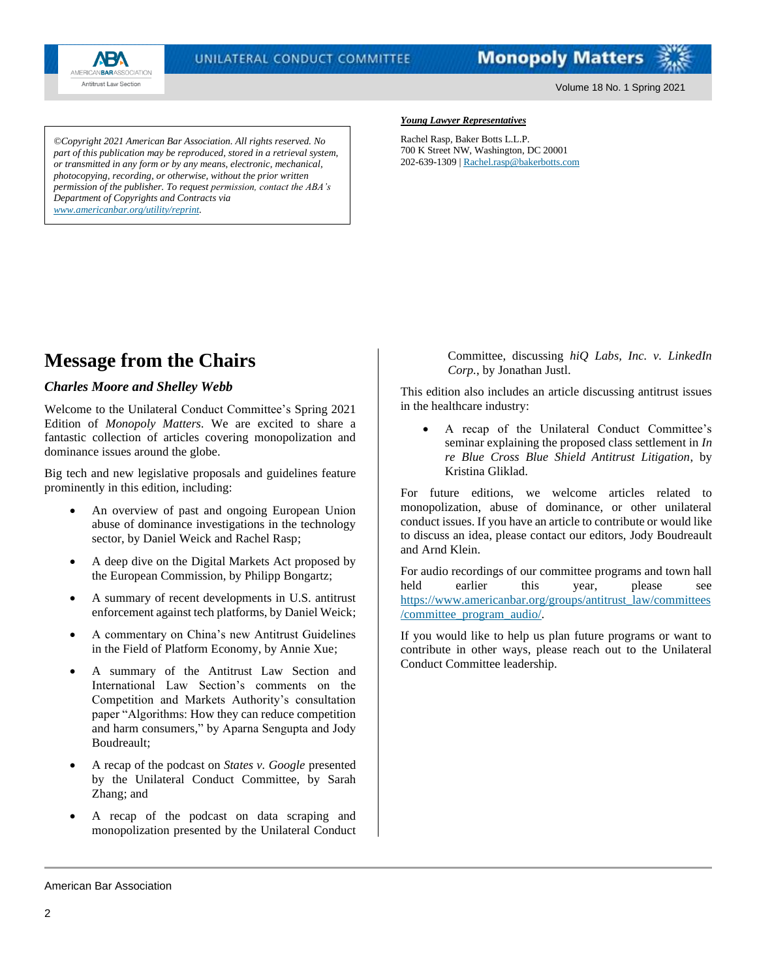

Volume 18 No. 1 Spring 2021

*©Copyright 2021 American Bar Association. All rights reserved. No part of this publication may be reproduced, stored in a retrieval system, or transmitted in any form or by any means, electronic, mechanical, photocopying, recording, or otherwise, without the prior written permission of the publisher. To request permission, contact the ABA's Department of Copyrights and Contracts via [www.americanbar.org/utility/reprint.](http://www.americanbar.org/utility/reprint)*

#### *Young Lawyer Representatives*

Rachel Rasp, Baker Botts L.L.P. 700 K Street NW, Washington, DC 20001 202-639-1309 [| Rachel.rasp@bakerbotts.com](mailto:Rachel.rasp@bakerbotts.com)

# <span id="page-1-0"></span>**Message from the Chairs**

## *Charles Moore and Shelley Webb*

Welcome to the Unilateral Conduct Committee's Spring 2021 Edition of *Monopoly Matters*. We are excited to share a fantastic collection of articles covering monopolization and dominance issues around the globe.

Big tech and new legislative proposals and guidelines feature prominently in this edition, including:

- An overview of past and ongoing European Union abuse of dominance investigations in the technology sector, by Daniel Weick and Rachel Rasp;
- A deep dive on the Digital Markets Act proposed by the European Commission, by Philipp Bongartz;
- A summary of recent developments in U.S. antitrust enforcement against tech platforms, by Daniel Weick;
- A commentary on China's new Antitrust Guidelines in the Field of Platform Economy, by Annie Xue;
- A summary of the Antitrust Law Section and International Law Section's comments on the Competition and Markets Authority's consultation paper "Algorithms: How they can reduce competition and harm consumers," by Aparna Sengupta and Jody Boudreault;
- A recap of the podcast on *States v. Google* presented by the Unilateral Conduct Committee, by Sarah Zhang; and
- A recap of the podcast on data scraping and monopolization presented by the Unilateral Conduct

Committee, discussing *hiQ Labs, Inc. v. LinkedIn Corp.*, by Jonathan Justl.

This edition also includes an article discussing antitrust issues in the healthcare industry:

• A recap of the Unilateral Conduct Committee's seminar explaining the proposed class settlement in *In re Blue Cross Blue Shield Antitrust Litigation*, by Kristina Gliklad.

For future editions, we welcome articles related to monopolization, abuse of dominance, or other unilateral conduct issues. If you have an article to contribute or would like to discuss an idea, please contact our editors, Jody Boudreault and Arnd Klein.

For audio recordings of our committee programs and town hall held earlier this year, please see [https://www.americanbar.org/groups/antitrust\\_law/committees](https://www.americanbar.org/groups/antitrust_law/committees/committee_program_audio/) [/committee\\_program\\_audio/.](https://www.americanbar.org/groups/antitrust_law/committees/committee_program_audio/)

If you would like to help us plan future programs or want to contribute in other ways, please reach out to the Unilateral Conduct Committee leadership.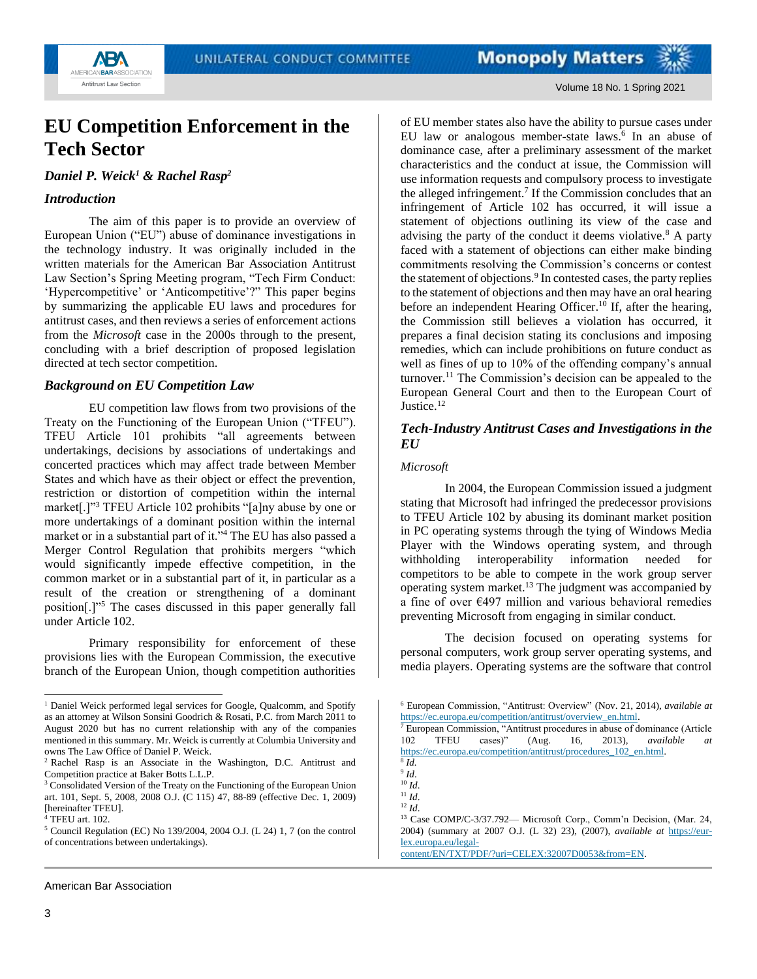



## <span id="page-2-0"></span>**EU Competition Enforcement in the Tech Sector**

*Daniel P. Weick<sup>1</sup> & Rachel Rasp<sup>2</sup>*

## *Introduction*

The aim of this paper is to provide an overview of European Union ("EU") abuse of dominance investigations in the technology industry. It was originally included in the written materials for the American Bar Association Antitrust Law Section's Spring Meeting program, "Tech Firm Conduct: 'Hypercompetitive' or 'Anticompetitive'?" This paper begins by summarizing the applicable EU laws and procedures for antitrust cases, and then reviews a series of enforcement actions from the *Microsoft* case in the 2000s through to the present, concluding with a brief description of proposed legislation directed at tech sector competition.

## *Background on EU Competition Law*

EU competition law flows from two provisions of the Treaty on the Functioning of the European Union ("TFEU"). TFEU Article 101 prohibits "all agreements between undertakings, decisions by associations of undertakings and concerted practices which may affect trade between Member States and which have as their object or effect the prevention, restriction or distortion of competition within the internal market[.]"<sup>3</sup> TFEU Article 102 prohibits "[a]ny abuse by one or more undertakings of a dominant position within the internal market or in a substantial part of it."<sup>4</sup> The EU has also passed a Merger Control Regulation that prohibits mergers "which would significantly impede effective competition, in the common market or in a substantial part of it, in particular as a result of the creation or strengthening of a dominant position[.]"<sup>5</sup> The cases discussed in this paper generally fall under Article 102.

Primary responsibility for enforcement of these provisions lies with the European Commission, the executive branch of the European Union, though competition authorities of EU member states also have the ability to pursue cases under EU law or analogous member-state laws.<sup>6</sup> In an abuse of dominance case, after a preliminary assessment of the market characteristics and the conduct at issue, the Commission will use information requests and compulsory process to investigate the alleged infringement.<sup>7</sup> If the Commission concludes that an infringement of Article 102 has occurred, it will issue a statement of objections outlining its view of the case and advising the party of the conduct it deems violative.<sup>8</sup> A party faced with a statement of objections can either make binding commitments resolving the Commission's concerns or contest the statement of objections.<sup>9</sup> In contested cases, the party replies to the statement of objections and then may have an oral hearing before an independent Hearing Officer.<sup>10</sup> If, after the hearing, the Commission still believes a violation has occurred, it prepares a final decision stating its conclusions and imposing remedies, which can include prohibitions on future conduct as well as fines of up to 10% of the offending company's annual turnover.<sup>11</sup> The Commission's decision can be appealed to the European General Court and then to the European Court of Justice.<sup>12</sup>

## *Tech-Industry Antitrust Cases and Investigations in the EU*

#### *Microsoft*

In 2004, the European Commission issued a judgment stating that Microsoft had infringed the predecessor provisions to TFEU Article 102 by abusing its dominant market position in PC operating systems through the tying of Windows Media Player with the Windows operating system, and through withholding interoperability information needed for competitors to be able to compete in the work group server operating system market.<sup>13</sup> The judgment was accompanied by a fine of over €497 million and various behavioral remedies preventing Microsoft from engaging in similar conduct.

The decision focused on operating systems for personal computers, work group server operating systems, and media players. Operating systems are the software that control

<sup>&</sup>lt;sup>1</sup> Daniel Weick performed legal services for Google, Qualcomm, and Spotify as an attorney at Wilson Sonsini Goodrich & Rosati, P.C. from March 2011 to August 2020 but has no current relationship with any of the companies mentioned in this summary. Mr. Weick is currently at Columbia University and owns The Law Office of Daniel P. Weick.

<sup>2</sup> Rachel Rasp is an Associate in the Washington, D.C. Antitrust and Competition practice at Baker Botts L.L.P.

<sup>&</sup>lt;sup>3</sup> Consolidated Version of the Treaty on the Functioning of the European Union art. 101, Sept. 5, 2008, 2008 O.J. (C 115) 47, 88-89 (effective Dec. 1, 2009) [hereinafter TFEU].

<sup>4</sup> TFEU art. 102.

<sup>5</sup> Council Regulation (EC) No 139/2004, 2004 O.J. (L 24) 1, 7 (on the control of concentrations between undertakings).

<sup>6</sup> European Commission, "Antitrust: Overview" (Nov. 21, 2014), *available at* [https://ec.europa.eu/competition/antitrust/overview\\_en.html.](https://ec.europa.eu/competition/antitrust/overview_en.html)

 $7 \text{ European Commission, "Antitrust procedures in abuse of dominance (Article 102 TFEU cases)" \text{ (Aug. 16, 2013), available at }$ 102 TFEU cases)" (Aug. 16, 2013), *available at* [https://ec.europa.eu/competition/antitrust/procedures\\_102\\_en.html.](https://ec.europa.eu/competition/antitrust/procedures_102_en.html) 8 *Id.*

<sup>9</sup> *Id*.

<sup>10</sup> *Id*.

<sup>11</sup> *Id*. <sup>12</sup> *Id*.

<sup>13</sup> Case COMP/C-3/37.792— Microsoft Corp., Comm'n Decision, (Mar. 24, 2004) (summary at 2007 O.J. (L 32) 23), (2007), *available at* [https://eur](https://eur-lex.europa.eu/legal-content/EN/TXT/PDF/?uri=CELEX:32007D0053&from=EN)[lex.europa.eu/legal-](https://eur-lex.europa.eu/legal-content/EN/TXT/PDF/?uri=CELEX:32007D0053&from=EN)

[content/EN/TXT/PDF/?uri=CELEX:32007D0053&from=EN.](https://eur-lex.europa.eu/legal-content/EN/TXT/PDF/?uri=CELEX:32007D0053&from=EN)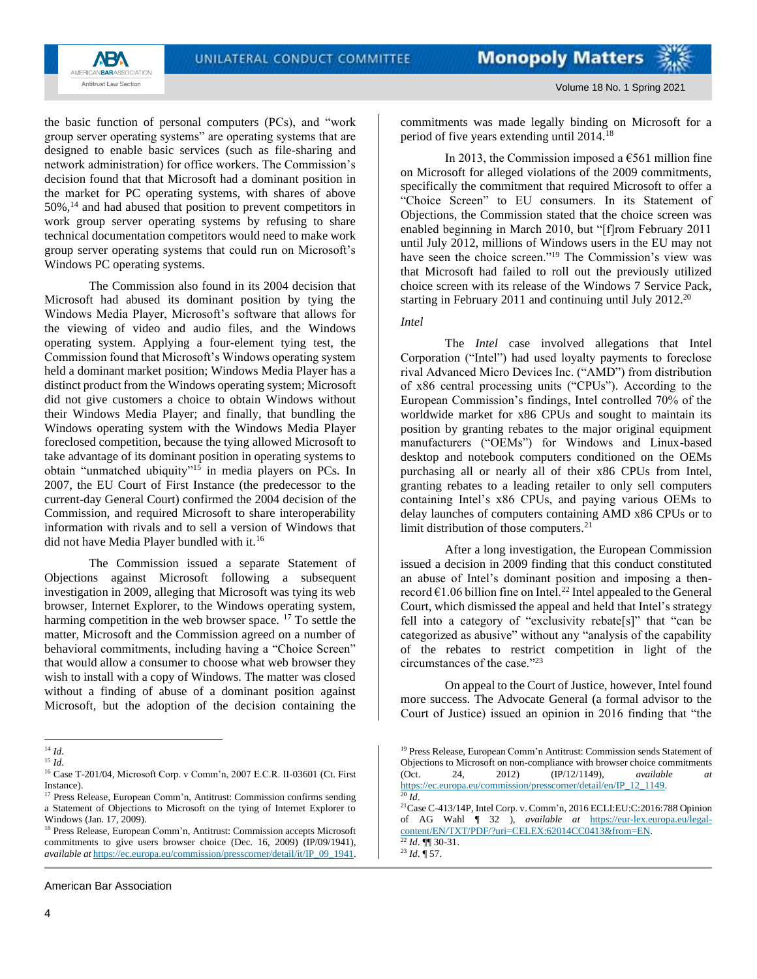

Volume 18 No. 1 Spring 2021

the basic function of personal computers (PCs), and "work group server operating systems" are operating systems that are designed to enable basic services (such as file-sharing and network administration) for office workers. The Commission's decision found that that Microsoft had a dominant position in the market for PC operating systems, with shares of above  $50\%$ ,<sup>14</sup> and had abused that position to prevent competitors in work group server operating systems by refusing to share technical documentation competitors would need to make work group server operating systems that could run on Microsoft's Windows PC operating systems.

The Commission also found in its 2004 decision that Microsoft had abused its dominant position by tying the Windows Media Player, Microsoft's software that allows for the viewing of video and audio files, and the Windows operating system. Applying a four-element tying test, the Commission found that Microsoft's Windows operating system held a dominant market position; Windows Media Player has a distinct product from the Windows operating system; Microsoft did not give customers a choice to obtain Windows without their Windows Media Player; and finally, that bundling the Windows operating system with the Windows Media Player foreclosed competition, because the tying allowed Microsoft to take advantage of its dominant position in operating systems to obtain "unmatched ubiquity"<sup>15</sup> in media players on PCs. In 2007, the EU Court of First Instance (the predecessor to the current-day General Court) confirmed the 2004 decision of the Commission, and required Microsoft to share interoperability information with rivals and to sell a version of Windows that did not have Media Player bundled with it.<sup>16</sup>

The Commission issued a separate Statement of Objections against Microsoft following a subsequent investigation in 2009, alleging that Microsoft was tying its web browser, Internet Explorer, to the Windows operating system, harming competition in the web browser space. <sup>17</sup> To settle the matter, Microsoft and the Commission agreed on a number of behavioral commitments, including having a "Choice Screen" that would allow a consumer to choose what web browser they wish to install with a copy of Windows. The matter was closed without a finding of abuse of a dominant position against Microsoft, but the adoption of the decision containing the commitments was made legally binding on Microsoft for a period of five years extending until 2014.<sup>18</sup>

In 2013, the Commission imposed a  $\epsilon$ 561 million fine on Microsoft for alleged violations of the 2009 commitments, specifically the commitment that required Microsoft to offer a "Choice Screen" to EU consumers. In its Statement of Objections, the Commission stated that the choice screen was enabled beginning in March 2010, but "[f]rom February 2011 until July 2012, millions of Windows users in the EU may not have seen the choice screen."<sup>19</sup> The Commission's view was that Microsoft had failed to roll out the previously utilized choice screen with its release of the Windows 7 Service Pack, starting in February 2011 and continuing until July 2012.<sup>20</sup>

#### *Intel*

The *Intel* case involved allegations that Intel Corporation ("Intel") had used loyalty payments to foreclose rival Advanced Micro Devices Inc. ("AMD") from distribution of x86 central processing units ("CPUs"). According to the European Commission's findings, Intel controlled 70% of the worldwide market for x86 CPUs and sought to maintain its position by granting rebates to the major original equipment manufacturers ("OEMs") for Windows and Linux-based desktop and notebook computers conditioned on the OEMs purchasing all or nearly all of their x86 CPUs from Intel, granting rebates to a leading retailer to only sell computers containing Intel's x86 CPUs, and paying various OEMs to delay launches of computers containing AMD x86 CPUs or to limit distribution of those computers.<sup>21</sup>

After a long investigation, the European Commission issued a decision in 2009 finding that this conduct constituted an abuse of Intel's dominant position and imposing a thenrecord  $\epsilon$ 1.06 billion fine on Intel.<sup>22</sup> Intel appealed to the General Court, which dismissed the appeal and held that Intel's strategy fell into a category of "exclusivity rebate[s]" that "can be categorized as abusive" without any "analysis of the capability of the rebates to restrict competition in light of the circumstances of the case."<sup>23</sup>

On appeal to the Court of Justice, however, Intel found more success. The Advocate General (a formal advisor to the Court of Justice) issued an opinion in 2016 finding that "the

<sup>14</sup> *Id*.

<sup>15</sup> *Id*.

<sup>16</sup> Case T-201/04, Microsoft Corp. v Comm'n, 2007 E.C.R. II-03601 (Ct. First Instance).

<sup>&</sup>lt;sup>17</sup> Press Release, European Comm'n, Antitrust: Commission confirms sending a Statement of Objections to Microsoft on the tying of Internet Explorer to Windows (Jan. 17, 2009).

<sup>18</sup> Press Release, European Comm'n, Antitrust: Commission accepts Microsoft commitments to give users browser choice (Dec. 16, 2009) (IP/09/1941), *available at* [https://ec.europa.eu/commission/presscorner/detail/it/IP\\_09\\_1941.](https://ec.europa.eu/commission/presscorner/detail/it/IP_09_1941)

<sup>&</sup>lt;sup>19</sup> Press Release, European Comm'n Antitrust: Commission sends Statement of Objections to Microsoft on non-compliance with browser choice commitments (Oct. 24, 2012) (IP/12/1149), *available at* (Oct. 24, 2012) (IP/12/1149), *available at* [https://ec.europa.eu/commission/presscorner/detail/en/IP\\_12\\_1149.](https://ec.europa.eu/commission/presscorner/detail/en/IP_12_1149)   $Id.$ 

<sup>21</sup>Case C-413/14P, Intel Corp. v. Comm'n, 2016 ECLI:EU:C:2016:788 Opinion of AG Wahl ¶ 32 ), *available at* [https://eur-lex.europa.eu/legal](https://eur-lex.europa.eu/legal-content/EN/TXT/PDF/?uri=CELEX:62014CC0413&from=EN)[content/EN/TXT/PDF/?uri=CELEX:62014CC0413&from=EN.](https://eur-lex.europa.eu/legal-content/EN/TXT/PDF/?uri=CELEX:62014CC0413&from=EN) <sup>22</sup> *Id*. ¶¶ 30-31.

 $^{23}$  *Id.*  $\sqrt{57}$ .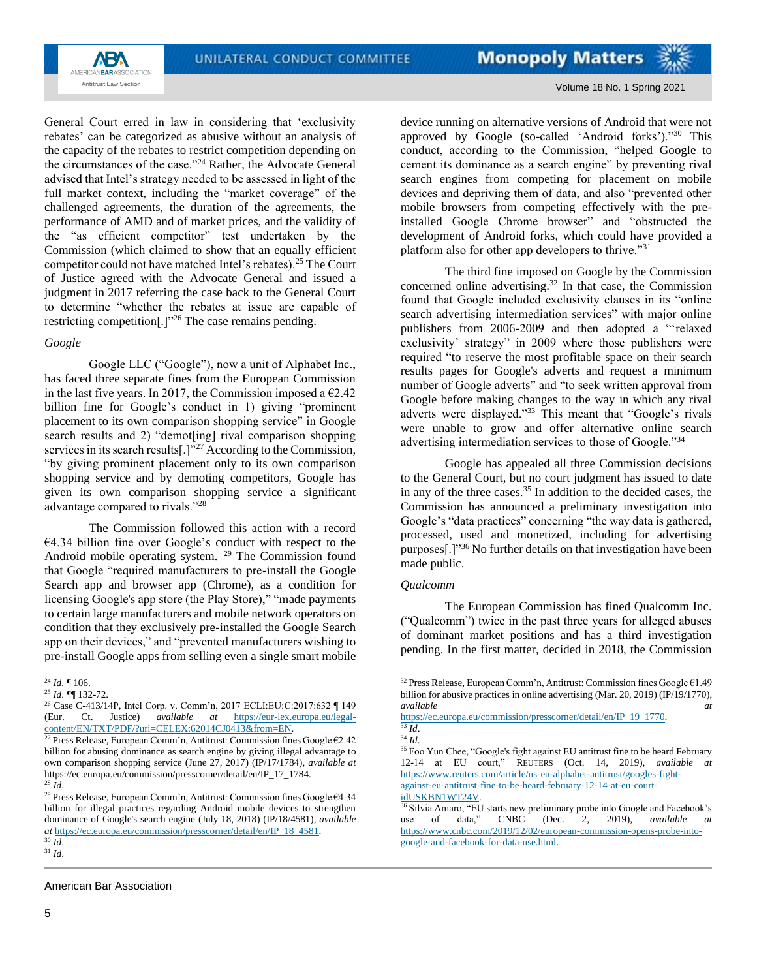

Volume 18 No. 1 Spring 2021

General Court erred in law in considering that 'exclusivity rebates' can be categorized as abusive without an analysis of the capacity of the rebates to restrict competition depending on the circumstances of the case."<sup>24</sup> Rather, the Advocate General advised that Intel's strategy needed to be assessed in light of the full market context, including the "market coverage" of the challenged agreements, the duration of the agreements, the performance of AMD and of market prices, and the validity of the "as efficient competitor" test undertaken by the Commission (which claimed to show that an equally efficient competitor could not have matched Intel's rebates).<sup>25</sup> The Court of Justice agreed with the Advocate General and issued a judgment in 2017 referring the case back to the General Court to determine "whether the rebates at issue are capable of restricting competition[.]"<sup>26</sup> The case remains pending.

#### *Google*

Google LLC ("Google"), now a unit of Alphabet Inc., has faced three separate fines from the European Commission in the last five years. In 2017, the Commission imposed a  $\epsilon$ 2.42 billion fine for Google's conduct in 1) giving "prominent placement to its own comparison shopping service" in Google search results and 2) "demot[ing] rival comparison shopping services in its search results[.]"<sup>27</sup> According to the Commission, "by giving prominent placement only to its own comparison shopping service and by demoting competitors, Google has given its own comparison shopping service a significant advantage compared to rivals."<sup>28</sup>

The Commission followed this action with a record €4.34 billion fine over Google's conduct with respect to the Android mobile operating system. <sup>29</sup> The Commission found that Google "required manufacturers to pre-install the Google Search app and browser app (Chrome), as a condition for licensing Google's app store (the Play Store)," "made payments" to certain large manufacturers and mobile network operators on condition that they exclusively pre-installed the Google Search app on their devices," and "prevented manufacturers wishing to pre-install Google apps from selling even a single smart mobile device running on alternative versions of Android that were not approved by Google (so-called 'Android forks')."<sup>30</sup> This conduct, according to the Commission, "helped Google to cement its dominance as a search engine" by preventing rival search engines from competing for placement on mobile devices and depriving them of data, and also "prevented other mobile browsers from competing effectively with the preinstalled Google Chrome browser" and "obstructed the development of Android forks, which could have provided a platform also for other app developers to thrive."<sup>31</sup>

The third fine imposed on Google by the Commission concerned online advertising.<sup>32</sup> In that case, the Commission found that Google included exclusivity clauses in its "online search advertising intermediation services" with major online publishers from 2006-2009 and then adopted a "'relaxed exclusivity' strategy" in 2009 where those publishers were required "to reserve the most profitable space on their search results pages for Google's adverts and request a minimum number of Google adverts" and "to seek written approval from Google before making changes to the way in which any rival adverts were displayed."<sup>33</sup> This meant that "Google's rivals were unable to grow and offer alternative online search advertising intermediation services to those of Google."<sup>34</sup>

Google has appealed all three Commission decisions to the General Court, but no court judgment has issued to date in any of the three cases.<sup>35</sup> In addition to the decided cases, the Commission has announced a preliminary investigation into Google's "data practices" concerning "the way data is gathered, processed, used and monetized, including for advertising purposes[.]"<sup>36</sup> No further details on that investigation have been made public.

#### *Qualcomm*

The European Commission has fined Qualcomm Inc. ("Qualcomm") twice in the past three years for alleged abuses of dominant market positions and has a third investigation pending. In the first matter, decided in 2018, the Commission

<sup>24</sup> *Id*. ¶ 106.

<sup>25</sup> *Id*. ¶¶ 132-72.

<sup>26</sup> Case C-413/14P, Intel Corp. v. Comm'n, 2017 ECLI:EU:C:2017:632 ¶ 149 (Eur. Ct. Justice) *available at* [https://eur-lex.europa.eu/legal](https://eur-lex.europa.eu/legal-content/EN/TXT/PDF/?uri=CELEX:62014CJ0413&from=EN)[content/EN/TXT/PDF/?uri=CELEX:62014CJ0413&from=EN.](https://eur-lex.europa.eu/legal-content/EN/TXT/PDF/?uri=CELEX:62014CJ0413&from=EN)

<sup>&</sup>lt;sup>27</sup> Press Release, European Comm'n, Antitrust: Commission fines Google  $62.42$ billion for abusing dominance as search engine by giving illegal advantage to own comparison shopping service (June 27, 2017) (IP/17/1784), *available at*  https://ec.europa.eu/commission/presscorner/detail/en/IP\_17\_1784. <sup>28</sup> *Id*.

<sup>29</sup> Press Release, European Comm'n, Antitrust: Commission fines Google €4.34 billion for illegal practices regarding Android mobile devices to strengthen dominance of Google's search engine (July 18, 2018) (IP/18/4581), *available at* [https://ec.europa.eu/commission/presscorner/detail/en/IP\\_18\\_4581.](https://ec.europa.eu/commission/presscorner/detail/en/IP_18_4581)

<sup>30</sup> *Id*. <sup>31</sup> *Id*.

<sup>&</sup>lt;sup>32</sup> Press Release, European Comm'n, Antitrust: Commission fines Google  $E1.49$ billion for abusive practices in online advertising (Mar. 20, 2019) (IP/19/1770), available  $at$ *available at* 

[https://ec.europa.eu/commission/presscorner/detail/en/IP\\_19\\_1770.](https://ec.europa.eu/commission/presscorner/detail/en/IP_19_1770)  $\overline{\frac{33}{}}$ *Id*.

<sup>34</sup> *Id*.

<sup>&</sup>lt;sup>35</sup> Foo Yun Chee, "Google's fight against EU antitrust fine to be heard February 12-14 at EU court," REUTERS (Oct. 14, 2019), *available at* [https://www.reuters.com/article/us-eu-alphabet-antitrust/googles-fight](https://www.reuters.com/article/us-eu-alphabet-antitrust/googles-fight-against-eu-antitrust-fine-to-be-heard-february-12-14-at-eu-court-idUSKBN1WT24V)[against-eu-antitrust-fine-to-be-heard-february-12-14-at-eu-court](https://www.reuters.com/article/us-eu-alphabet-antitrust/googles-fight-against-eu-antitrust-fine-to-be-heard-february-12-14-at-eu-court-idUSKBN1WT24V)[idUSKBN1WT24V.](https://www.reuters.com/article/us-eu-alphabet-antitrust/googles-fight-against-eu-antitrust-fine-to-be-heard-february-12-14-at-eu-court-idUSKBN1WT24V)

<sup>&</sup>lt;sup>36</sup> Silvia Amaro, "EU starts new preliminary probe into Google and Facebook's use of data," CNBC (Dec. 2, 2019), *available at* [https://www.cnbc.com/2019/12/02/european-commission-opens-probe-into](https://www.cnbc.com/2019/12/02/european-commission-opens-probe-into-google-and-facebook-for-data-use.html)[google-and-facebook-for-data-use.html.](https://www.cnbc.com/2019/12/02/european-commission-opens-probe-into-google-and-facebook-for-data-use.html)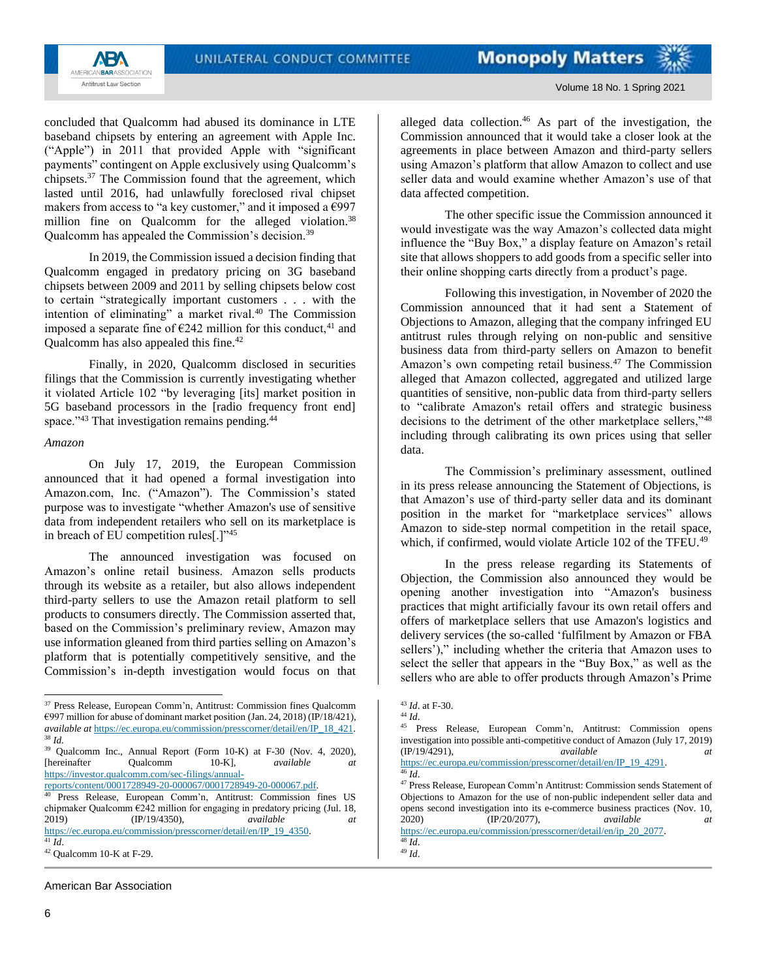

Volume 18 No. 1 Spring 2021

concluded that Qualcomm had abused its dominance in LTE baseband chipsets by entering an agreement with Apple Inc. ("Apple") in 2011 that provided Apple with "significant payments" contingent on Apple exclusively using Qualcomm's chipsets.<sup>37</sup> The Commission found that the agreement, which lasted until 2016, had unlawfully foreclosed rival chipset makers from access to "a key customer," and it imposed a  $\epsilon$ 997 million fine on Qualcomm for the alleged violation.<sup>38</sup> Qualcomm has appealed the Commission's decision.<sup>39</sup>

In 2019, the Commission issued a decision finding that Qualcomm engaged in predatory pricing on 3G baseband chipsets between 2009 and 2011 by selling chipsets below cost to certain "strategically important customers . . . with the intention of eliminating" a market rival.<sup>40</sup> The Commission imposed a separate fine of  $\epsilon$ 242 million for this conduct,<sup>41</sup> and Qualcomm has also appealed this fine.<sup>42</sup>

Finally, in 2020, Qualcomm disclosed in securities filings that the Commission is currently investigating whether it violated Article 102 "by leveraging [its] market position in 5G baseband processors in the [radio frequency front end] space."<sup>43</sup> That investigation remains pending.<sup>44</sup>

#### *Amazon*

On July 17, 2019, the European Commission announced that it had opened a formal investigation into Amazon.com, Inc. ("Amazon"). The Commission's stated purpose was to investigate "whether Amazon's use of sensitive data from independent retailers who sell on its marketplace is in breach of EU competition rules[.]"<sup>45</sup>

The announced investigation was focused on Amazon's online retail business. Amazon sells products through its website as a retailer, but also allows independent third-party sellers to use the Amazon retail platform to sell products to consumers directly. The Commission asserted that, based on the Commission's preliminary review, Amazon may use information gleaned from third parties selling on Amazon's platform that is potentially competitively sensitive, and the Commission's in-depth investigation would focus on that

[reports/content/0001728949-20-000067/0001728949-20-000067.pdf.](https://investor.qualcomm.com/sec-filings/annual-reports/content/0001728949-20-000067/0001728949-20-000067.pdf)

American Bar Association

alleged data collection.<sup>46</sup> As part of the investigation, the Commission announced that it would take a closer look at the agreements in place between Amazon and third-party sellers using Amazon's platform that allow Amazon to collect and use seller data and would examine whether Amazon's use of that data affected competition.

The other specific issue the Commission announced it would investigate was the way Amazon's collected data might influence the "Buy Box," a display feature on Amazon's retail site that allows shoppers to add goods from a specific seller into their online shopping carts directly from a product's page.

Following this investigation, in November of 2020 the Commission announced that it had sent a Statement of Objections to Amazon, alleging that the company infringed EU antitrust rules through relying on non-public and sensitive business data from third-party sellers on Amazon to benefit Amazon's own competing retail business.<sup>47</sup> The Commission alleged that Amazon collected, aggregated and utilized large quantities of sensitive, non-public data from third-party sellers to "calibrate Amazon's retail offers and strategic business decisions to the detriment of the other marketplace sellers,"<sup>48</sup> including through calibrating its own prices using that seller data.

The Commission's preliminary assessment, outlined in its press release announcing the Statement of Objections, is that Amazon's use of third-party seller data and its dominant position in the market for "marketplace services" allows Amazon to side-step normal competition in the retail space, which, if confirmed, would violate Article 102 of the TFEU.<sup>49</sup>

In the press release regarding its Statements of Objection, the Commission also announced they would be opening another investigation into "Amazon's business practices that might artificially favour its own retail offers and offers of marketplace sellers that use Amazon's logistics and delivery services (the so-called 'fulfilment by Amazon or FBA sellers')," including whether the criteria that Amazon uses to select the seller that appears in the "Buy Box," as well as the sellers who are able to offer products through Amazon's Prime

[https://ec.europa.eu/commission/presscorner/detail/en/IP\\_19\\_4291.](https://ec.europa.eu/commission/presscorner/detail/en/IP_19_4291)  $46$   $\tilde{Id}$ .

<sup>37</sup> Press Release, European Comm'n, Antitrust: Commission fines Qualcomm  $\epsilon$ 997 million for abuse of dominant market position (Jan. 24, 2018) (IP/18/421), *available at* [https://ec.europa.eu/commission/presscorner/detail/en/IP\\_18\\_421.](https://ec.europa.eu/commission/presscorner/detail/en/IP_18_421) <sup>38</sup> *Id.*

<sup>39</sup> Qualcomm Inc., Annual Report (Form 10-K) at F-30 (Nov. 4, 2020), [hereinafter Qualcomm 10-K], *available at* [https://investor.qualcomm.com/sec-filings/annual-](https://investor.qualcomm.com/sec-filings/annual-reports/content/0001728949-20-000067/0001728949-20-000067.pdf)

Press Release, European Comm'n, Antitrust: Commission fines US chipmaker Qualcomm  $\epsilon$ 242 million for engaging in predatory pricing (Jul. 18, 2019) (IP/19/4350), *available at* [https://ec.europa.eu/commission/presscorner/detail/en/IP\\_19\\_4350.](https://ec.europa.eu/commission/presscorner/detail/en/IP_19_4350)

 $\overline{41}$   $\overline{1}d$ .

 $42$  Qualcomm 10-K at F-29.

<sup>43</sup> *Id*. at F-30.

<sup>44</sup> *Id*.

<sup>45</sup> Press Release, European Comm'n, Antitrust: Commission opens investigation into possible anti-competitive conduct of Amazon (July 17, 2019) (IP/19/4291), *available at*

<sup>47</sup> Press Release, European Comm'n Antitrust: Commission sends Statement of Objections to Amazon for the use of non-public independent seller data and opens second investigation into its e-commerce business practices (Nov. 10, 2020) (IP/20/2077), *available at* [https://ec.europa.eu/commission/presscorner/detail/en/ip\\_20\\_2077.](https://ec.europa.eu/commission/presscorner/detail/en/ip_20_2077)

<sup>48</sup> *Id*. <sup>49</sup> *Id*.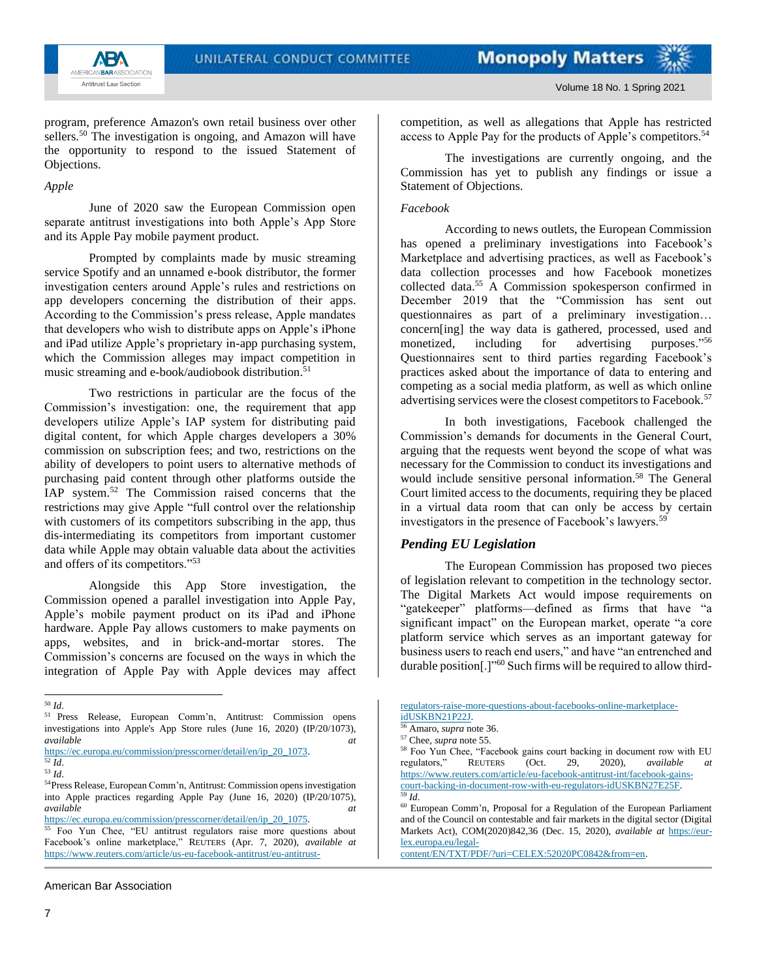

**ABA** AMERICAN**BAR**ASSOCIATION Antitrust Law Section

program, preference Amazon's own retail business over other sellers.<sup>50</sup> The investigation is ongoing, and Amazon will have the opportunity to respond to the issued Statement of Objections.

*Apple*

June of 2020 saw the European Commission open separate antitrust investigations into both Apple's App Store and its Apple Pay mobile payment product.

Prompted by complaints made by music streaming service Spotify and an unnamed e-book distributor, the former investigation centers around Apple's rules and restrictions on app developers concerning the distribution of their apps. According to the Commission's press release, Apple mandates that developers who wish to distribute apps on Apple's iPhone and iPad utilize Apple's proprietary in-app purchasing system, which the Commission alleges may impact competition in music streaming and e-book/audiobook distribution.<sup>51</sup>

Two restrictions in particular are the focus of the Commission's investigation: one, the requirement that app developers utilize Apple's IAP system for distributing paid digital content, for which Apple charges developers a 30% commission on subscription fees; and two, restrictions on the ability of developers to point users to alternative methods of purchasing paid content through other platforms outside the IAP system.<sup>52</sup> The Commission raised concerns that the restrictions may give Apple "full control over the relationship with customers of its competitors subscribing in the app, thus dis-intermediating its competitors from important customer data while Apple may obtain valuable data about the activities and offers of its competitors."<sup>53</sup>

Alongside this App Store investigation, the Commission opened a parallel investigation into Apple Pay, Apple's mobile payment product on its iPad and iPhone hardware. Apple Pay allows customers to make payments on apps, websites, and in brick-and-mortar stores. The Commission's concerns are focused on the ways in which the integration of Apple Pay with Apple devices may affect

The investigations are currently ongoing, and the Commission has yet to publish any findings or issue a Statement of Objections.

### *Facebook*

According to news outlets, the European Commission has opened a preliminary investigations into Facebook's Marketplace and advertising practices, as well as Facebook's data collection processes and how Facebook monetizes collected data.<sup>55</sup> A Commission spokesperson confirmed in December 2019 that the "Commission has sent out questionnaires as part of a preliminary investigation… concern[ing] the way data is gathered, processed, used and monetized, including for advertising purposes."<sup>56</sup> Questionnaires sent to third parties regarding Facebook's practices asked about the importance of data to entering and competing as a social media platform, as well as which online advertising services were the closest competitors to Facebook.<sup>57</sup>

In both investigations, Facebook challenged the Commission's demands for documents in the General Court, arguing that the requests went beyond the scope of what was necessary for the Commission to conduct its investigations and would include sensitive personal information.<sup>58</sup> The General Court limited access to the documents, requiring they be placed in a virtual data room that can only be access by certain investigators in the presence of Facebook's lawyers.<sup>59</sup>

## *Pending EU Legislation*

The European Commission has proposed two pieces of legislation relevant to competition in the technology sector. The Digital Markets Act would impose requirements on "gatekeeper" platforms—defined as firms that have "a significant impact" on the European market, operate "a core platform service which serves as an important gateway for business users to reach end users," and have "an entrenched and durable position[.]"<sup>60</sup> Such firms will be required to allow third-

<sup>50</sup> *Id*.

<sup>51</sup> Press Release, European Comm'n, Antitrust: Commission opens investigations into Apple's App Store rules (June 16, 2020) (IP/20/1073), *available at*

[https://ec.europa.eu/commission/presscorner/detail/en/ip\\_20\\_1073.](https://ec.europa.eu/commission/presscorner/detail/en/ip_20_1073)

<sup>52</sup> *Id*. <sup>53</sup> *Id*.

<sup>54</sup>Press Release, European Comm'n, Antitrust: Commission opens investigation into Apple practices regarding Apple Pay (June 16, 2020) (IP/20/1075), *available at*

[https://ec.europa.eu/commission/presscorner/detail/en/ip\\_20\\_1075.](https://ec.europa.eu/commission/presscorner/detail/en/ip_20_1075)

<sup>55</sup> Foo Yun Chee, "EU antitrust regulators raise more questions about Facebook's online marketplace," REUTERS (Apr. 7, 2020), *available at* [https://www.reuters.com/article/us-eu-facebook-antitrust/eu-antitrust-](https://www.reuters.com/article/us-eu-facebook-antitrust/eu-antitrust-regulators-raise-more-questions-about-facebooks-online-marketplace-idUSKBN21P22J)

[regulators-raise-more-questions-about-facebooks-online-marketplace](https://www.reuters.com/article/us-eu-facebook-antitrust/eu-antitrust-regulators-raise-more-questions-about-facebooks-online-marketplace-idUSKBN21P22J)[idUSKBN21P22J.](https://www.reuters.com/article/us-eu-facebook-antitrust/eu-antitrust-regulators-raise-more-questions-about-facebooks-online-marketplace-idUSKBN21P22J)

<sup>56</sup> Amaro, *supra* note 36.

<sup>57</sup> Chee, *supra* note 55.

<sup>58</sup> Foo Yun Chee, "Facebook gains court backing in document row with EU regulators," REUTERS (Oct. 29, 2020), *available at* [https://www.reuters.com/article/eu-facebook-antitrust-int/facebook-gains](https://www.reuters.com/article/eu-facebook-antitrust-int/facebook-gains-court-backing-in-document-row-with-eu-regulators-idUSKBN27E25F)[court-backing-in-document-row-with-eu-regulators-idUSKBN27E25F.](https://www.reuters.com/article/eu-facebook-antitrust-int/facebook-gains-court-backing-in-document-row-with-eu-regulators-idUSKBN27E25F) <sup>59</sup> *Id*.

<sup>60</sup> European Comm'n, Proposal for a Regulation of the European Parliament and of the Council on contestable and fair markets in the digital sector (Digital Markets Act), COM(2020)842,36 (Dec. 15, 2020), *available at* [https://eur](https://eur-lex.europa.eu/legal-content/EN/TXT/PDF/?uri=CELEX:52020PC0842&from=en)[lex.europa.eu/legal-](https://eur-lex.europa.eu/legal-content/EN/TXT/PDF/?uri=CELEX:52020PC0842&from=en)

[content/EN/TXT/PDF/?uri=CELEX:52020PC0842&from=en.](https://eur-lex.europa.eu/legal-content/EN/TXT/PDF/?uri=CELEX:52020PC0842&from=en)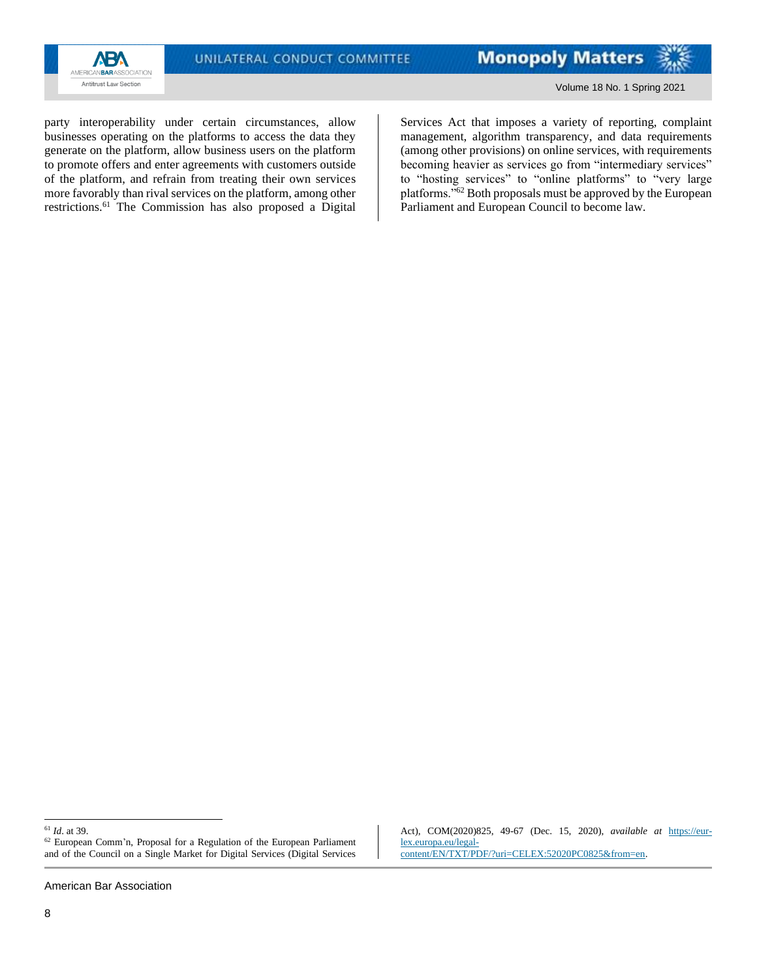

party interoperability under certain circumstances, allow businesses operating on the platforms to access the data they generate on the platform, allow business users on the platform to promote offers and enter agreements with customers outside of the platform, and refrain from treating their own services more favorably than rival services on the platform, among other restrictions.<sup>61</sup> The Commission has also proposed a Digital Services Act that imposes a variety of reporting, complaint management, algorithm transparency, and data requirements (among other provisions) on online services, with requirements becoming heavier as services go from "intermediary services" to "hosting services" to "online platforms" to "very large platforms."<sup>62</sup> Both proposals must be approved by the European Parliament and European Council to become law.

American Bar Association

8

Act), COM(2020)825, 49-67 (Dec. 15, 2020), *available at* [https://eur](https://eur-lex.europa.eu/legal-content/EN/TXT/PDF/?uri=CELEX:52020PC0825&from=en)[lex.europa.eu/legal](https://eur-lex.europa.eu/legal-content/EN/TXT/PDF/?uri=CELEX:52020PC0825&from=en)[content/EN/TXT/PDF/?uri=CELEX:52020PC0825&from=en.](https://eur-lex.europa.eu/legal-content/EN/TXT/PDF/?uri=CELEX:52020PC0825&from=en)

<sup>61</sup> *Id*. at 39.

 $62$  European Comm'n, Proposal for a Regulation of the European Parliament and of the Council on a Single Market for Digital Services (Digital Services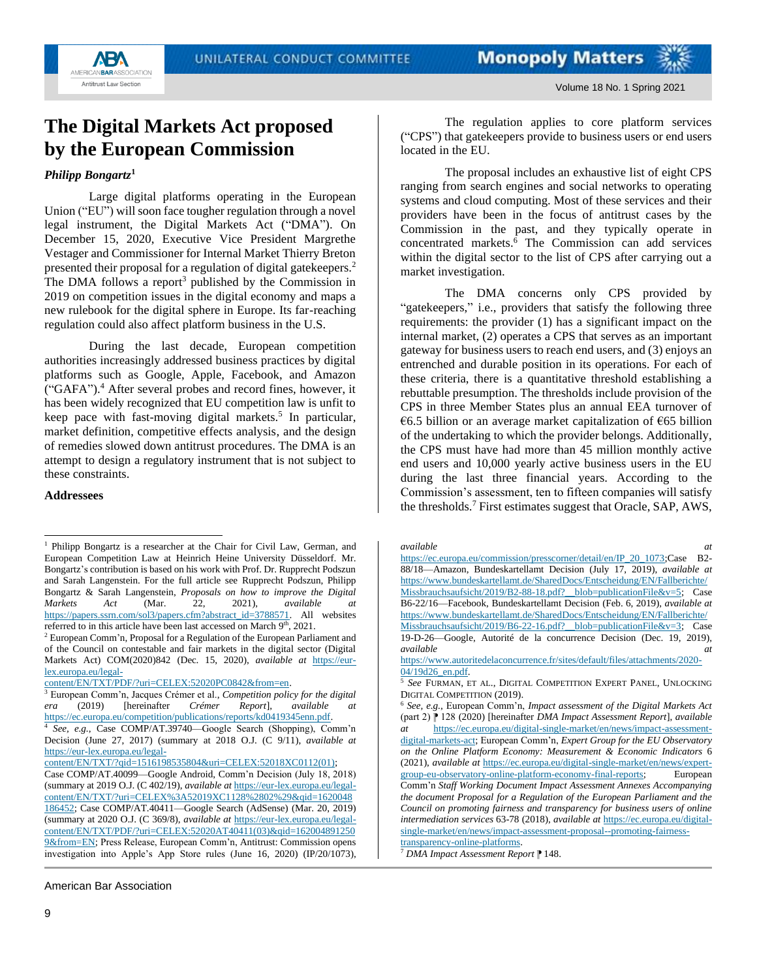

## <span id="page-8-0"></span>**The Digital Markets Act proposed by the European Commission**

### *Philipp Bongartz***<sup>1</sup>**

Large digital platforms operating in the European Union ("EU") will soon face tougher regulation through a novel legal instrument, the Digital Markets Act ("DMA"). On December 15, 2020, Executive Vice President Margrethe Vestager and Commissioner for Internal Market Thierry Breton presented their proposal for a regulation of digital gatekeepers.<sup>2</sup> The DMA follows a report<sup>3</sup> published by the Commission in 2019 on competition issues in the digital economy and maps a new rulebook for the digital sphere in Europe. Its far-reaching regulation could also affect platform business in the U.S.

During the last decade, European competition authorities increasingly addressed business practices by digital platforms such as Google, Apple, Facebook, and Amazon ("GAFA").<sup>4</sup> After several probes and record fines, however, it has been widely recognized that EU competition law is unfit to keep pace with fast-moving digital markets.<sup>5</sup> In particular, market definition, competitive effects analysis, and the design of remedies slowed down antitrust procedures. The DMA is an attempt to design a regulatory instrument that is not subject to these constraints.

#### **Addressees**

[content/EN/TXT/PDF/?uri=CELEX:52020PC0842&from=en.](https://eur-lex.europa.eu/legal-content/EN/TXT/PDF/?uri=CELEX:52020PC0842&from=en)

The regulation applies to core platform services ("CPS") that gatekeepers provide to business users or end users located in the EU.

The proposal includes an exhaustive list of eight CPS ranging from search engines and social networks to operating systems and cloud computing. Most of these services and their providers have been in the focus of antitrust cases by the Commission in the past, and they typically operate in concentrated markets. $\vec{6}$  The Commission can add services within the digital sector to the list of CPS after carrying out a market investigation.

The DMA concerns only CPS provided by "gatekeepers," i.e., providers that satisfy the following three requirements: the provider (1) has a significant impact on the internal market, (2) operates a CPS that serves as an important gateway for business users to reach end users, and (3) enjoys an entrenched and durable position in its operations. For each of these criteria, there is a quantitative threshold establishing a rebuttable presumption. The thresholds include provision of the CPS in three Member States plus an annual EEA turnover of €6.5 billion or an average market capitalization of €65 billion of the undertaking to which the provider belongs. Additionally, the CPS must have had more than 45 million monthly active end users and 10,000 yearly active business users in the EU during the last three financial years. According to the Commission's assessment, ten to fifteen companies will satisfy the thresholds.<sup>7</sup> First estimates suggest that Oracle, SAP, AWS,

Comm'n *Staff Working Document Impact Assessment Annexes Accompanying the document Proposal for a Regulation of the European Parliament and the Council on promoting fairness and transparency for business users of online intermediation services* 63-78 (2018), *available at* [https://ec.europa.eu/digital](https://ec.europa.eu/digital-single-market/en/news/impact-assessment-proposal--promoting-fairness-transparency-online-platforms)[single-market/en/news/impact-assessment-proposal--promoting-fairness-](https://ec.europa.eu/digital-single-market/en/news/impact-assessment-proposal--promoting-fairness-transparency-online-platforms)

[transparency-online-platforms.](https://ec.europa.eu/digital-single-market/en/news/impact-assessment-proposal--promoting-fairness-transparency-online-platforms) <sup>7</sup> *DMA Impact Assessment Report* ⁋ 148.

<sup>&</sup>lt;sup>1</sup> Philipp Bongartz is a researcher at the Chair for Civil Law, German, and European Competition Law at Heinrich Heine University Düsseldorf. Mr. Bongartz's contribution is based on his work with Prof. Dr. Rupprecht Podszun and Sarah Langenstein. For the full article see Rupprecht Podszun, Philipp Bongartz & Sarah Langenstein, *Proposals on how to improve the Digital Markets Act* (Mar. 22, 2021), *available at* [https://papers.ssrn.com/sol3/papers.cfm?abstract\\_id=3788571.](https://papers.ssrn.com/sol3/papers.cfm?abstract_id=3788571) All websites referred to in this article have been last accessed on March 9th, 2021.

<sup>2</sup> European Comm'n, Proposal for a Regulation of the European Parliament and of the Council on contestable and fair markets in the digital sector (Digital Markets Act) COM(2020)842 (Dec. 15, 2020), *available at* [https://eur](https://eur-lex.europa.eu/legal-content/EN/TXT/PDF/?uri=CELEX:52020PC0842&from=en)[lex.europa.eu/legal-](https://eur-lex.europa.eu/legal-content/EN/TXT/PDF/?uri=CELEX:52020PC0842&from=en)

<sup>3</sup> European Comm'n, Jacques Crémer et al., *Competition policy for the digital era* (2019) [hereinafter *Crémer Report*], *available at* [https://ec.europa.eu/competition/publications/reports/kd0419345enn.pdf.](https://ec.europa.eu/competition/publications/reports/kd0419345enn.pdf)<br>4 See e.g. Case COMP/AT 39740—Google Search (Shopping) Co

<sup>4</sup> *See, e.g.*, Case COMP/AT.39740—Google Search (Shopping), Comm'n Decision (June 27, 2017) (summary at 2018 O.J. (C 9/11), *available at* [https://eur-lex.europa.eu/legal-](https://eur-lex.europa.eu/legal-content/EN/TXT/?qid=1516198535804&uri=CELEX:52018XC0112(01))

[content/EN/TXT/?qid=1516198535804&uri=CELEX:52018XC0112\(01\);](https://eur-lex.europa.eu/legal-content/EN/TXT/?qid=1516198535804&uri=CELEX:52018XC0112(01))

Case COMP/AT.40099—Google Android, Comm'n Decision (July 18, 2018) (summary at 2019 O.J. (C 402/19), *available at* [https://eur-lex.europa.eu/legal](https://eur-lex.europa.eu/legal-content/EN/TXT/?uri=CELEX%3A52019XC1128%2802%29&qid=1620048186452)[content/EN/TXT/?uri=CELEX%3A52019XC1128%2802%29&qid=1620048](https://eur-lex.europa.eu/legal-content/EN/TXT/?uri=CELEX%3A52019XC1128%2802%29&qid=1620048186452) [186452;](https://eur-lex.europa.eu/legal-content/EN/TXT/?uri=CELEX%3A52019XC1128%2802%29&qid=1620048186452) Case COMP/AT.40411—Google Search (AdSense) (Mar. 20, 2019) (summary at 2020 O.J. (C 369/8), *available at* [https://eur-lex.europa.eu/legal](https://eur-lex.europa.eu/legal-content/EN/TXT/PDF/?uri=CELEX:52020AT40411(03)&qid=1620048912509&from=EN)[content/EN/TXT/PDF/?uri=CELEX:52020AT40411\(03\)&qid=162004891250](https://eur-lex.europa.eu/legal-content/EN/TXT/PDF/?uri=CELEX:52020AT40411(03)&qid=1620048912509&from=EN) [9&from=EN;](https://eur-lex.europa.eu/legal-content/EN/TXT/PDF/?uri=CELEX:52020AT40411(03)&qid=1620048912509&from=EN) Press Release, European Comm'n, Antitrust: Commission opens investigation into Apple's App Store rules (June 16, 2020) (IP/20/1073),

*available at* [https://ec.europa.eu/commission/presscorner/detail/en/IP\\_20\\_1073;](https://ec.europa.eu/commission/presscorner/detail/en/IP_20_1073)Case B2-88/18—Amazon, Bundeskartellamt Decision (July 17, 2019), *available at* [https://www.bundeskartellamt.de/SharedDocs/Entscheidung/EN/Fallberichte/](https://www.bundeskartellamt.de/SharedDocs/Entscheidung/EN/Fallberichte/Missbrauchsaufsicht/2019/B2-88-18.pdf?__blob=publicationFile&v=5) [Missbrauchsaufsicht/2019/B2-88-18.pdf?\\_\\_blob=publicationFile&v=5;](https://www.bundeskartellamt.de/SharedDocs/Entscheidung/EN/Fallberichte/Missbrauchsaufsicht/2019/B2-88-18.pdf?__blob=publicationFile&v=5) Case B6-22/16—Facebook, Bundeskartellamt Decision (Feb. 6, 2019), *available at* [https://www.bundeskartellamt.de/SharedDocs/Entscheidung/EN/Fallberichte/](https://www.bundeskartellamt.de/SharedDocs/Entscheidung/EN/Fallberichte/Missbrauchsaufsicht/2019/B6-22-16.pdf?__blob=publicationFile&v=3) Missbrauchsaufsicht/2019/B6-22-16.pdf?\_blob=publicationFile&v=3; Case 19-D-26—Google, Autorité de la concurrence Decision (Dec. 19, 2019), *available at*

[https://www.autoritedelaconcurrence.fr/sites/default/files/attachments/2020-](https://www.autoritedelaconcurrence.fr/sites/default/files/attachments/2020-04/19d26_en.pdf) [04/19d26\\_en.pdf.](https://www.autoritedelaconcurrence.fr/sites/default/files/attachments/2020-04/19d26_en.pdf)

<sup>5</sup> *See* FURMAN, ET AL., DIGITAL COMPETITION EXPERT PANEL, UNLOCKING DIGITAL COMPETITION (2019).

<sup>6</sup> *See, e.g.*, European Comm'n, *Impact assessment of the Digital Markets Act* (part 2) ⁋ 128 (2020) [hereinafter *DMA Impact Assessment Report*], *available at* [https://ec.europa.eu/digital-single-market/en/news/impact-assessment](https://ec.europa.eu/digital-single-market/en/news/impact-assessment-digital-markets-act)[digital-markets-act;](https://ec.europa.eu/digital-single-market/en/news/impact-assessment-digital-markets-act) European Comm'n, *Expert Group for the EU Observatory on the Online Platform Economy: Measurement & Economic Indicators* 6 (2021), *available at* [https://ec.europa.eu/digital-single-market/en/news/expert](https://ec.europa.eu/digital-single-market/en/news/expert-group-eu-observatory-online-platform-economy-final-reports)[group-eu-observatory-online-platform-economy-final-reports;](https://ec.europa.eu/digital-single-market/en/news/expert-group-eu-observatory-online-platform-economy-final-reports) European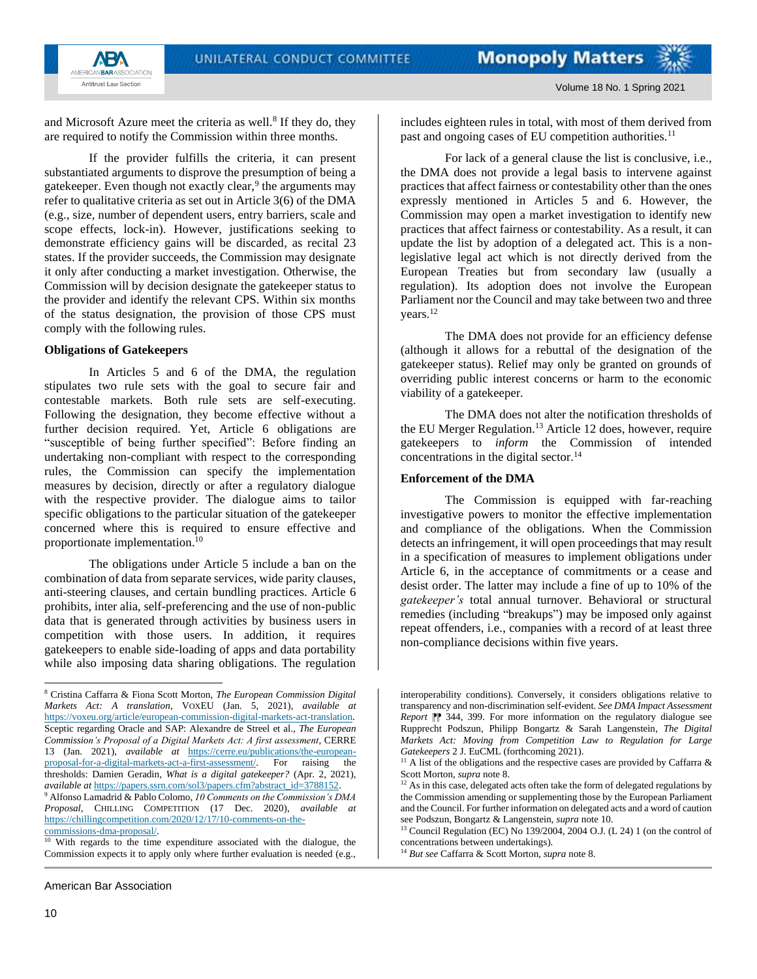

Volume 18 No. 1 Spring 2021

and Microsoft Azure meet the criteria as well.<sup>8</sup> If they do, they are required to notify the Commission within three months.

If the provider fulfills the criteria, it can present substantiated arguments to disprove the presumption of being a gatekeeper. Even though not exactly clear,<sup>9</sup> the arguments may refer to qualitative criteria as set out in Article 3(6) of the DMA (e.g., size, number of dependent users, entry barriers, scale and scope effects, lock-in). However, justifications seeking to demonstrate efficiency gains will be discarded, as recital 23 states. If the provider succeeds, the Commission may designate it only after conducting a market investigation. Otherwise, the Commission will by decision designate the gatekeeper status to the provider and identify the relevant CPS. Within six months of the status designation, the provision of those CPS must comply with the following rules.

#### **Obligations of Gatekeepers**

In Articles 5 and 6 of the DMA, the regulation stipulates two rule sets with the goal to secure fair and contestable markets. Both rule sets are self-executing. Following the designation, they become effective without a further decision required. Yet, Article 6 obligations are "susceptible of being further specified": Before finding an undertaking non-compliant with respect to the corresponding rules, the Commission can specify the implementation measures by decision, directly or after a regulatory dialogue with the respective provider. The dialogue aims to tailor specific obligations to the particular situation of the gatekeeper concerned where this is required to ensure effective and proportionate implementation. 10

The obligations under Article 5 include a ban on the combination of data from separate services, wide parity clauses, anti-steering clauses, and certain bundling practices. Article 6 prohibits, inter alia, self-preferencing and the use of non-public data that is generated through activities by business users in competition with those users. In addition, it requires gatekeepers to enable side-loading of apps and data portability while also imposing data sharing obligations. The regulation

American Bar Association

includes eighteen rules in total, with most of them derived from past and ongoing cases of EU competition authorities.<sup>11</sup>

For lack of a general clause the list is conclusive, i.e., the DMA does not provide a legal basis to intervene against practices that affect fairness or contestability other than the ones expressly mentioned in Articles 5 and 6. However, the Commission may open a market investigation to identify new practices that affect fairness or contestability. As a result, it can update the list by adoption of a delegated act. This is a nonlegislative legal act which is not directly derived from the European Treaties but from secondary law (usually a regulation). Its adoption does not involve the European Parliament nor the Council and may take between two and three years.<sup>12</sup>

The DMA does not provide for an efficiency defense (although it allows for a rebuttal of the designation of the gatekeeper status). Relief may only be granted on grounds of overriding public interest concerns or harm to the economic viability of a gatekeeper.

The DMA does not alter the notification thresholds of the EU Merger Regulation.<sup>13</sup> Article 12 does, however, require gatekeepers to *inform* the Commission of intended concentrations in the digital sector. $14$ 

#### **Enforcement of the DMA**

The Commission is equipped with far-reaching investigative powers to monitor the effective implementation and compliance of the obligations. When the Commission detects an infringement, it will open proceedings that may result in a specification of measures to implement obligations under Article 6, in the acceptance of commitments or a cease and desist order. The latter may include a fine of up to 10% of the *gatekeeper's* total annual turnover. Behavioral or structural remedies (including "breakups") may be imposed only against repeat offenders, i.e., companies with a record of at least three non-compliance decisions within five years.

<sup>8</sup> Cristina Caffarra & Fiona Scott Morton, *The European Commission Digital Markets Act: A translation*, VOXEU (Jan. 5, 2021), *available at* [https://voxeu.org/article/european-commission-digital-markets-act-translation.](https://voxeu.org/article/european-commission-digital-markets-act-translation) Sceptic regarding Oracle and SAP: Alexandre de Streel et al., *The European Commission's Proposal of a Digital Markets Act: A first assessment*, CERRE 13 (Jan. 2021), *available at* [https://cerre.eu/publications/the-european](https://cerre.eu/publications/the-european-proposal-for-a-digital-markets-act-a-first-assessment/)[proposal-for-a-digital-markets-act-a-first-assessment/.](https://cerre.eu/publications/the-european-proposal-for-a-digital-markets-act-a-first-assessment/) For raising the thresholds: Damien Geradin, *What is a digital gatekeeper?* (Apr. 2, 2021), *available at* [https://papers.ssrn.com/sol3/papers.cfm?abstract\\_id=3788152.](https://papers.ssrn.com/sol3/papers.cfm?abstract_id=3788152) <sup>9</sup> Alfonso Lamadrid & Pablo Colomo, *10 Comments on the Commission's DMA Proposal*, CHILLING COMPETITION (17 Dec. 2020), *available at* [https://chillingcompetition.com/2020/12/17/10-comments-on-the](https://chillingcompetition.com/2020/12/17/10-comments-on-the-commissions-dma-proposal/)commissions-dma-proposal/

With regards to the time expenditure associated with the dialogue, the Commission expects it to apply only where further evaluation is needed (e.g.,

interoperability conditions). Conversely, it considers obligations relative to transparency and non-discrimination self-evident. *See DMA Impact Assessment Report*  $\mathbb{R}$  344, 399. For more information on the regulatory dialogue see Rupprecht Podszun, Philipp Bongartz & Sarah Langenstein, *The Digital Markets Act: Moving from Competition Law to Regulation for Large Gatekeepers* 2 J. EuCML (forthcoming 2021).

<sup>&</sup>lt;sup>11</sup> A list of the obligations and the respective cases are provided by Caffarra  $\&$ Scott Morton, *supra* note 8.

 $12$  As in this case, delegated acts often take the form of delegated regulations by the Commission amending or supplementing those by the European Parliament and the Council. For further information on delegated acts and a word of caution see Podszun, Bongartz & Langenstein, *supra* note 10.

<sup>&</sup>lt;sup>13</sup> Council Regulation (EC) No 139/2004, 2004 O.J. (L 24) 1 (on the control of concentrations between undertakings).

<sup>14</sup> *But see* Caffarra & Scott Morton, *supra* note 8.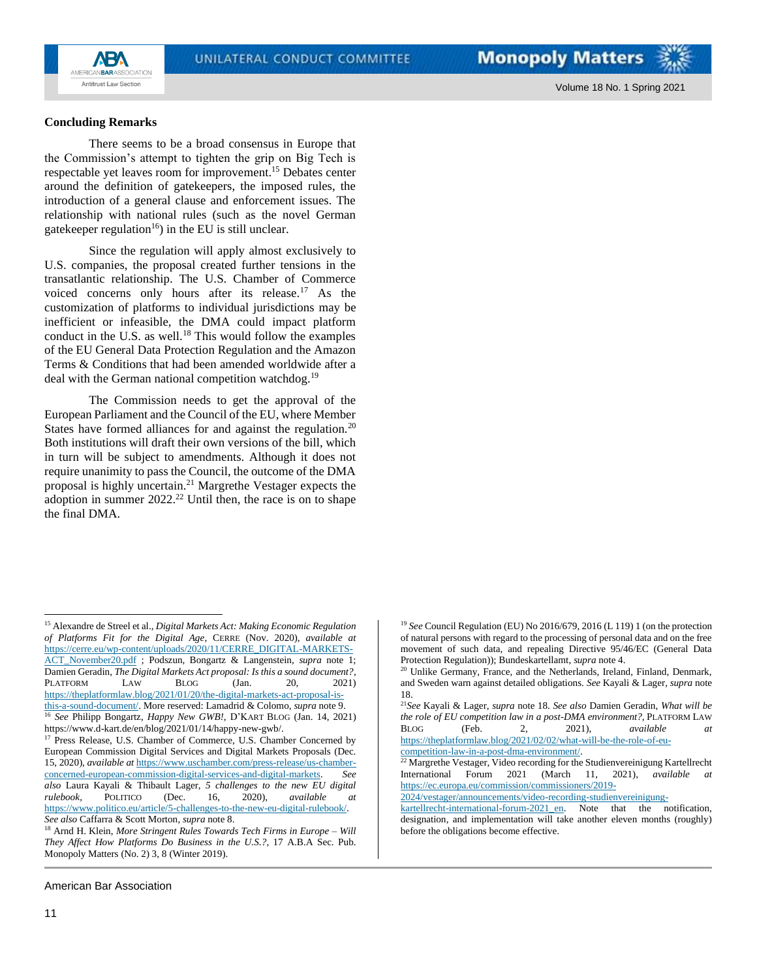

Volume 18 No. 1 Spring 2021

#### **Concluding Remarks**

There seems to be a broad consensus in Europe that the Commission's attempt to tighten the grip on Big Tech is respectable yet leaves room for improvement.<sup>15</sup> Debates center around the definition of gatekeepers, the imposed rules, the introduction of a general clause and enforcement issues. The relationship with national rules (such as the novel German gatekeeper regulation<sup>16</sup>) in the EU is still unclear.

Since the regulation will apply almost exclusively to U.S. companies, the proposal created further tensions in the transatlantic relationship. The U.S. Chamber of Commerce voiced concerns only hours after its release.<sup>17</sup> As the customization of platforms to individual jurisdictions may be inefficient or infeasible, the DMA could impact platform conduct in the U.S. as well.<sup>18</sup> This would follow the examples of the EU General Data Protection Regulation and the Amazon Terms & Conditions that had been amended worldwide after a deal with the German national competition watchdog.<sup>19</sup>

The Commission needs to get the approval of the European Parliament and the Council of the EU, where Member States have formed alliances for and against the regulation.<sup>20</sup> Both institutions will draft their own versions of the bill, which in turn will be subject to amendments. Although it does not require unanimity to pass the Council, the outcome of the DMA proposal is highly uncertain.<sup>21</sup> Margrethe Vestager expects the adoption in summer  $2022<sup>22</sup>$  Until then, the race is on to shape the final DMA.

[ACT\\_November20.pdf](https://cerre.eu/wp-content/uploads/2020/11/CERRE_DIGITAL-MARKETS-ACT_November20.pdf) ; Podszun, Bongartz & Langenstein, *supra* note 1; Damien Geradin, *The Digital Markets Act proposal: Is this a sound document?*, PLATFORM LAW BLOG (Jan. 20, 2021) [https://theplatformlaw.blog/2021/01/20/the-digital-markets-act-proposal-is](https://theplatformlaw.blog/2021/01/20/the-digital-markets-act-proposal-is-this-a-sound-document/)[this-a-sound-document/.](https://theplatformlaw.blog/2021/01/20/the-digital-markets-act-proposal-is-this-a-sound-document/) More reserved: Lamadrid & Colomo, *supra* note 9.

<sup>17</sup> Press Release, U.S. Chamber of Commerce, U.S. Chamber Concerned by European Commission Digital Services and Digital Markets Proposals (Dec. 15, 2020), *available at* [https://www.uschamber.com/press-release/us-chamber](https://www.uschamber.com/press-release/us-chamber-concerned-european-commission-digital-services-and-digital-markets)[concerned-european-commission-digital-services-and-digital-markets.](https://www.uschamber.com/press-release/us-chamber-concerned-european-commission-digital-services-and-digital-markets) *See also* Laura Kayali & Thibault Lager, *5 challenges to the new EU digital rulebook*, POLITICO (Dec. 16, 2020), *available at* https://www.politico.eu/article/5-challenges-to-the-new-eu-digital-rulebook/. *See also* Caffarra & Scott Morton, *supra* note 8.

<sup>19</sup> *See* Council Regulation (EU) No 2016/679, 2016 (L 119) 1 (on the protection of natural persons with regard to the processing of personal data and on the free movement of such data, and repealing Directive 95/46/EC (General Data Protection Regulation)); Bundeskartellamt, *supra* note 4.

[https://theplatformlaw.blog/2021/02/02/what-will-be-the-role-of-eu](https://theplatformlaw.blog/2021/02/02/what-will-be-the-role-of-eu-competition-law-in-a-post-dma-environment/)[competition-law-in-a-post-dma-environment/.](https://theplatformlaw.blog/2021/02/02/what-will-be-the-role-of-eu-competition-law-in-a-post-dma-environment/)

[2024/vestager/announcements/video-recording-studienvereinigung-](https://ec.europa.eu/commission/commissioners/2019-2024/vestager/announcements/video-recording-studienvereinigung-kartellrecht-international-forum-2021_en)

<sup>15</sup> Alexandre de Streel et al., *Digital Markets Act: Making Economic Regulation of Platforms Fit for the Digital Age*, CERRE (Nov. 2020), *available at* [https://cerre.eu/wp-content/uploads/2020/11/CERRE\\_DIGITAL-MARKETS-](https://cerre.eu/wp-content/uploads/2020/11/CERRE_DIGITAL-MARKETS-ACT_November20.pdf)

<sup>16</sup> *See* Philipp Bongartz, *Happy New GWB!*, D'KART BLOG (Jan. 14, 2021) https://www.d-kart.de/en/blog/2021/01/14/happy-new-gwb/.

<sup>18</sup> Arnd H. Klein, *More Stringent Rules Towards Tech Firms in Europe – Will They Affect How Platforms Do Business in the U.S.?,* 17 A.B.A Sec. Pub. Monopoly Matters (No. 2) 3, 8 (Winter 2019).

<sup>&</sup>lt;sup>20</sup> Unlike Germany, France, and the Netherlands, Ireland, Finland, Denmark, and Sweden warn against detailed obligations. *See* Kayali & Lager, *supra* note 18.

<sup>21</sup>*See* Kayali & Lager, *supra* note 18. *See also* Damien Geradin, *What will be the role of EU competition law in a post-DMA environment?,* PLATFORM LAW BLOG (Feb. 2, 2021), *available at*

<sup>&</sup>lt;sup>22</sup> Margrethe Vestager, Video recording for the Studienvereinigung Kartellrecht International Forum 2021 (March 11, 2021), *available at* [https://ec.europa.eu/commission/commissioners/2019-](https://ec.europa.eu/commission/commissioners/2019-2024/vestager/announcements/video-recording-studienvereinigung-kartellrecht-international-forum-2021_en)

[kartellrecht-international-forum-2021\\_en.](https://ec.europa.eu/commission/commissioners/2019-2024/vestager/announcements/video-recording-studienvereinigung-kartellrecht-international-forum-2021_en) Note that the notification, designation, and implementation will take another eleven months (roughly) before the obligations become effective.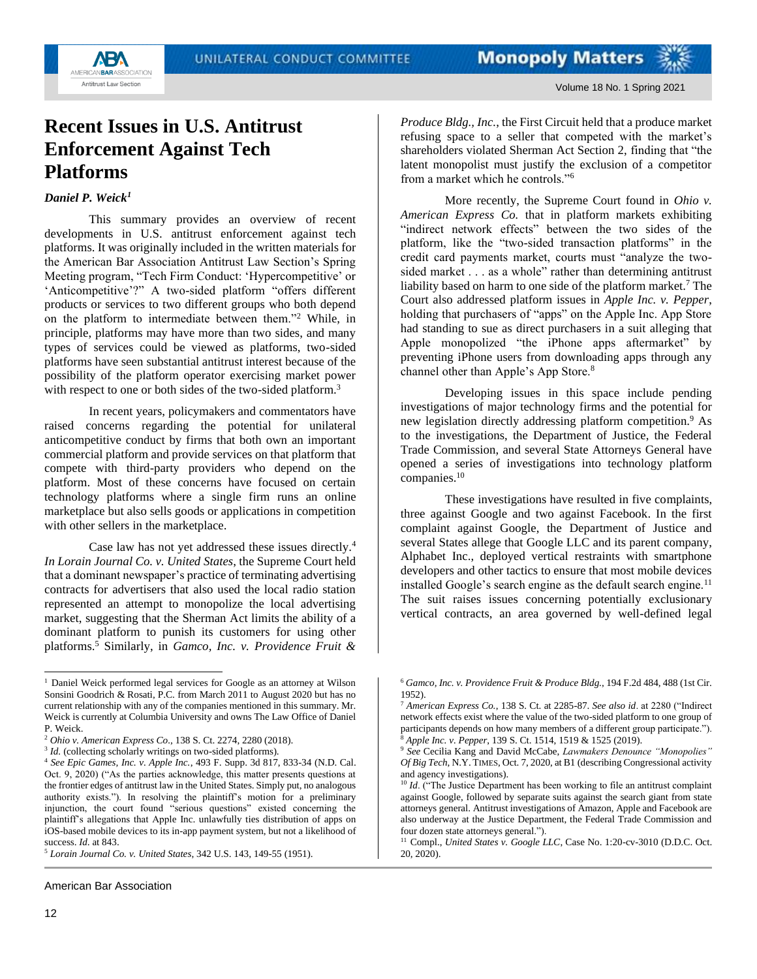

# <span id="page-11-0"></span>**Recent Issues in U.S. Antitrust Enforcement Against Tech Platforms**

## *Daniel P. Weick<sup>1</sup>*

This summary provides an overview of recent developments in U.S. antitrust enforcement against tech platforms. It was originally included in the written materials for the American Bar Association Antitrust Law Section's Spring Meeting program, "Tech Firm Conduct: 'Hypercompetitive' or 'Anticompetitive'?" A two-sided platform "offers different products or services to two different groups who both depend on the platform to intermediate between them."<sup>2</sup> While, in principle, platforms may have more than two sides, and many types of services could be viewed as platforms, two-sided platforms have seen substantial antitrust interest because of the possibility of the platform operator exercising market power with respect to one or both sides of the two-sided platform.<sup>3</sup>

In recent years, policymakers and commentators have raised concerns regarding the potential for unilateral anticompetitive conduct by firms that both own an important commercial platform and provide services on that platform that compete with third-party providers who depend on the platform. Most of these concerns have focused on certain technology platforms where a single firm runs an online marketplace but also sells goods or applications in competition with other sellers in the marketplace.

Case law has not yet addressed these issues directly.<sup>4</sup> *In Lorain Journal Co. v. United States*, the Supreme Court held that a dominant newspaper's practice of terminating advertising contracts for advertisers that also used the local radio station represented an attempt to monopolize the local advertising market, suggesting that the Sherman Act limits the ability of a dominant platform to punish its customers for using other platforms.<sup>5</sup> Similarly, in *Gamco, Inc. v. Providence Fruit &* 

American Bar Association

*Produce Bldg., Inc.*, the First Circuit held that a produce market refusing space to a seller that competed with the market's shareholders violated Sherman Act Section 2, finding that "the latent monopolist must justify the exclusion of a competitor from a market which he controls."<sup>6</sup>

More recently, the Supreme Court found in *Ohio v. American Express Co.* that in platform markets exhibiting "indirect network effects" between the two sides of the platform, like the "two-sided transaction platforms" in the credit card payments market, courts must "analyze the twosided market . . . as a whole" rather than determining antitrust liability based on harm to one side of the platform market.<sup>7</sup> The Court also addressed platform issues in *Apple Inc. v. Pepper*, holding that purchasers of "apps" on the Apple Inc. App Store had standing to sue as direct purchasers in a suit alleging that Apple monopolized "the iPhone apps aftermarket" by preventing iPhone users from downloading apps through any channel other than Apple's App Store.<sup>8</sup>

Developing issues in this space include pending investigations of major technology firms and the potential for new legislation directly addressing platform competition.<sup>9</sup> As to the investigations, the Department of Justice, the Federal Trade Commission, and several State Attorneys General have opened a series of investigations into technology platform companies.<sup>10</sup>

These investigations have resulted in five complaints, three against Google and two against Facebook. In the first complaint against Google, the Department of Justice and several States allege that Google LLC and its parent company, Alphabet Inc., deployed vertical restraints with smartphone developers and other tactics to ensure that most mobile devices installed Google's search engine as the default search engine.<sup>11</sup> The suit raises issues concerning potentially exclusionary vertical contracts, an area governed by well-defined legal

<sup>11</sup> Compl., *United States v. Google LLC*, Case No. 1:20-cv-3010 (D.D.C. Oct. 20, 2020).

<sup>&</sup>lt;sup>1</sup> Daniel Weick performed legal services for Google as an attorney at Wilson Sonsini Goodrich & Rosati, P.C. from March 2011 to August 2020 but has no current relationship with any of the companies mentioned in this summary. Mr. Weick is currently at Columbia University and owns The Law Office of Daniel P. Weick.

<sup>2</sup> *Ohio v. American Express Co.*, 138 S. Ct. 2274, 2280 (2018).

<sup>&</sup>lt;sup>3</sup> *Id.* (collecting scholarly writings on two-sided platforms).

<sup>4</sup> *See Epic Games, Inc. v. Apple Inc.*, 493 F. Supp. 3d 817, 833-34 (N.D. Cal. Oct. 9, 2020) ("As the parties acknowledge, this matter presents questions at the frontier edges of antitrust law in the United States. Simply put, no analogous authority exists."). In resolving the plaintiff's motion for a preliminary injunction, the court found "serious questions" existed concerning the plaintiff's allegations that Apple Inc. unlawfully ties distribution of apps on iOS-based mobile devices to its in-app payment system, but not a likelihood of success. *Id*. at 843.

<sup>5</sup> *Lorain Journal Co. v. United States*, 342 U.S. 143, 149-55 (1951).

<sup>6</sup> *Gamco, Inc. v. Providence Fruit & Produce Bldg.*, 194 F.2d 484, 488 (1st Cir. 1952).

<sup>7</sup> *American Express Co.*, 138 S. Ct. at 2285-87. *See also id*. at 2280 ("Indirect network effects exist where the value of the two-sided platform to one group of participants depends on how many members of a different group participate."). <sup>8</sup> *Apple Inc. v. Pepper*, 139 S. Ct. 1514, 1519 & 1525 (2019).

<sup>9</sup> *See* Cecilia Kang and David McCabe, *Lawmakers Denounce "Monopolies" Of Big Tech*, N.Y. TIMES, Oct. 7, 2020, at B1 (describing Congressional activity and agency investigations).

<sup>&</sup>lt;sup>10</sup> *Id.* ("The Justice Department has been working to file an antitrust complaint against Google, followed by separate suits against the search giant from state attorneys general. Antitrust investigations of Amazon, Apple and Facebook are also underway at the Justice Department, the Federal Trade Commission and four dozen state attorneys general.").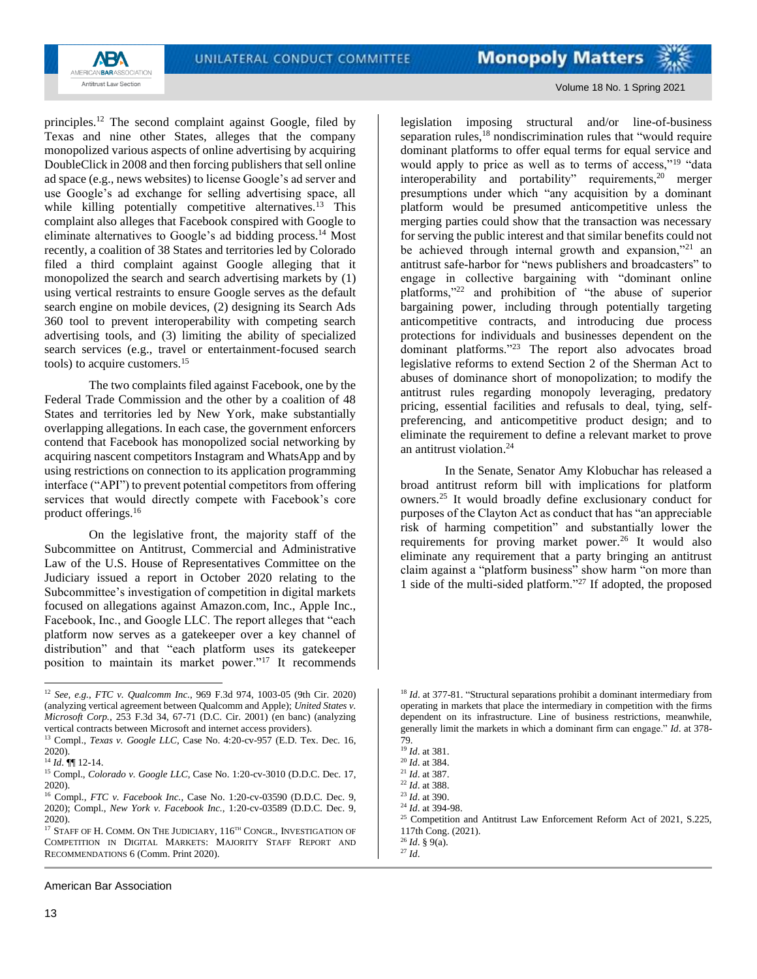

Volume 18 No. 1 Spring 2021

principles.<sup>12</sup> The second complaint against Google, filed by Texas and nine other States, alleges that the company monopolized various aspects of online advertising by acquiring DoubleClick in 2008 and then forcing publishers that sell online ad space (e.g., news websites) to license Google's ad server and use Google's ad exchange for selling advertising space, all while killing potentially competitive alternatives.<sup>13</sup> This complaint also alleges that Facebook conspired with Google to eliminate alternatives to Google's ad bidding process.<sup>14</sup> Most recently, a coalition of 38 States and territories led by Colorado filed a third complaint against Google alleging that it monopolized the search and search advertising markets by (1) using vertical restraints to ensure Google serves as the default search engine on mobile devices, (2) designing its Search Ads 360 tool to prevent interoperability with competing search advertising tools, and (3) limiting the ability of specialized search services (e.g., travel or entertainment-focused search tools) to acquire customers.<sup>15</sup>

The two complaints filed against Facebook, one by the Federal Trade Commission and the other by a coalition of 48 States and territories led by New York, make substantially overlapping allegations. In each case, the government enforcers contend that Facebook has monopolized social networking by acquiring nascent competitors Instagram and WhatsApp and by using restrictions on connection to its application programming interface ("API") to prevent potential competitors from offering services that would directly compete with Facebook's core product offerings.<sup>16</sup>

On the legislative front, the majority staff of the Subcommittee on Antitrust, Commercial and Administrative Law of the U.S. House of Representatives Committee on the Judiciary issued a report in October 2020 relating to the Subcommittee's investigation of competition in digital markets focused on allegations against Amazon.com, Inc., Apple Inc., Facebook, Inc., and Google LLC. The report alleges that "each platform now serves as a gatekeeper over a key channel of distribution" and that "each platform uses its gatekeeper position to maintain its market power."<sup>17</sup> It recommends

American Bar Association

legislation imposing structural and/or line-of-business separation rules, $^{18}$  nondiscrimination rules that "would require dominant platforms to offer equal terms for equal service and would apply to price as well as to terms of access,"<sup>19</sup> "data interoperability and portability" requirements,<sup>20</sup> merger presumptions under which "any acquisition by a dominant platform would be presumed anticompetitive unless the merging parties could show that the transaction was necessary for serving the public interest and that similar benefits could not be achieved through internal growth and expansion,"<sup>21</sup> an antitrust safe-harbor for "news publishers and broadcasters" to engage in collective bargaining with "dominant online platforms,"<sup>22</sup> and prohibition of "the abuse of superior bargaining power, including through potentially targeting anticompetitive contracts, and introducing due process protections for individuals and businesses dependent on the dominant platforms."<sup>23</sup> The report also advocates broad legislative reforms to extend Section 2 of the Sherman Act to abuses of dominance short of monopolization; to modify the antitrust rules regarding monopoly leveraging, predatory pricing, essential facilities and refusals to deal, tying, selfpreferencing, and anticompetitive product design; and to eliminate the requirement to define a relevant market to prove an antitrust violation. 24

In the Senate, Senator Amy Klobuchar has released a broad antitrust reform bill with implications for platform owners.<sup>25</sup> It would broadly define exclusionary conduct for purposes of the Clayton Act as conduct that has "an appreciable risk of harming competition" and substantially lower the requirements for proving market power.<sup>26</sup> It would also eliminate any requirement that a party bringing an antitrust claim against a "platform business" show harm "on more than 1 side of the multi-sided platform."<sup>27</sup> If adopted, the proposed

<sup>12</sup> *See, e.g.*, *FTC v. Qualcomm Inc.*, 969 F.3d 974, 1003-05 (9th Cir. 2020) (analyzing vertical agreement between Qualcomm and Apple); *United States v. Microsoft Corp.*, 253 F.3d 34, 67-71 (D.C. Cir. 2001) (en banc) (analyzing vertical contracts between Microsoft and internet access providers).

<sup>13</sup> Compl., *Texas v. Google LLC*, Case No. 4:20-cv-957 (E.D. Tex. Dec. 16, 2020).

<sup>14</sup> *Id*. ¶¶ 12-14.

<sup>&</sup>lt;sup>15</sup> Compl., *Colorado v. Google LLC*, Case No. 1:20-cv-3010 (D.D.C. Dec. 17, 2020).

<sup>16</sup> Compl., *FTC v. Facebook Inc.*, Case No. 1:20-cv-03590 (D.D.C. Dec. 9, 2020); Compl., *New York v. Facebook Inc.*, 1:20-cv-03589 (D.D.C. Dec. 9, 2020).

 $^{17}$  STAFF OF H. COMM. ON THE JUDICIARY,  $116^{\scriptscriptstyle\text{TH}}$  CONGR., INVESTIGATION OF COMPETITION IN DIGITAL MARKETS: MAJORITY STAFF REPORT AND RECOMMENDATIONS 6 (Comm. Print 2020).

<sup>&</sup>lt;sup>18</sup> *Id.* at 377-81. "Structural separations prohibit a dominant intermediary from operating in markets that place the intermediary in competition with the firms dependent on its infrastructure. Line of business restrictions, meanwhile, generally limit the markets in which a dominant firm can engage." *Id*. at 378- 79.

<sup>19</sup> *Id*. at 381.

<sup>20</sup> *Id*. at 384.

<sup>21</sup> *Id*. at 387.

<sup>22</sup> *Id*. at 388.

<sup>23</sup> *Id*. at 390.

<sup>24</sup> *Id*. at 394-98.

<sup>&</sup>lt;sup>25</sup> Competition and Antitrust Law Enforcement Reform Act of 2021, S.225, 117th Cong. (2021).

<sup>26</sup> *Id*. § 9(a).  $^{27}$  *Id.*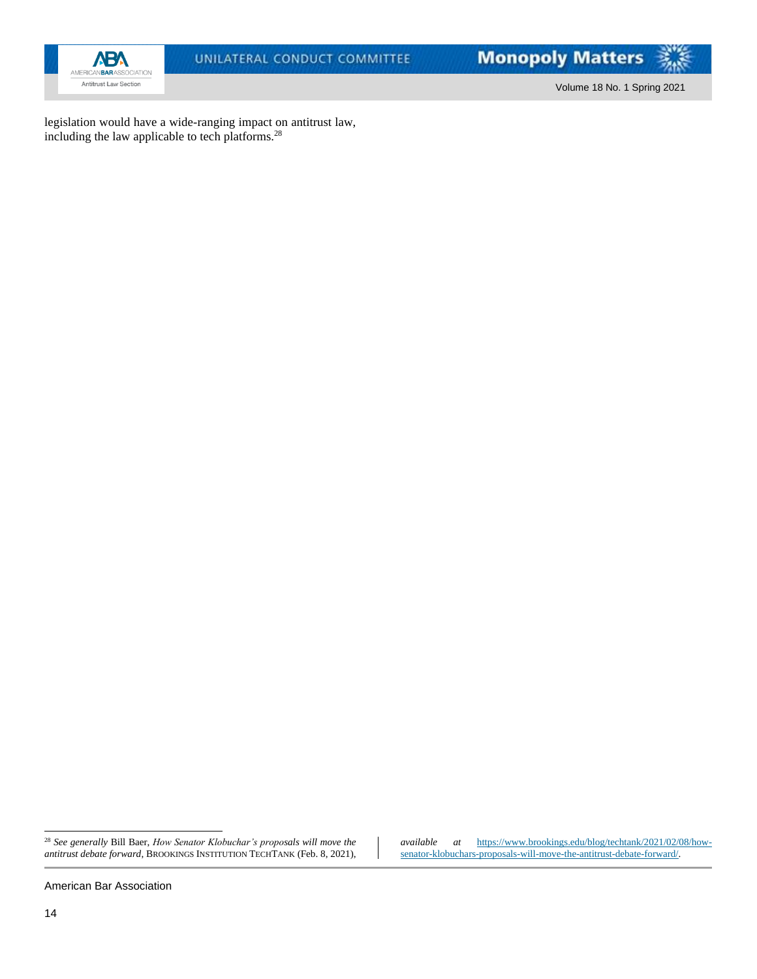

Volume 18 No. 1 Spring 2021

legislation would have a wide-ranging impact on antitrust law, including the law applicable to tech platforms.<sup>28</sup>

American Bar Association

<sup>28</sup> *See generally* Bill Baer, *How Senator Klobuchar's proposals will move the antitrust debate forward*, BROOKINGS INSTITUTION TECHTANK (Feb. 8, 2021),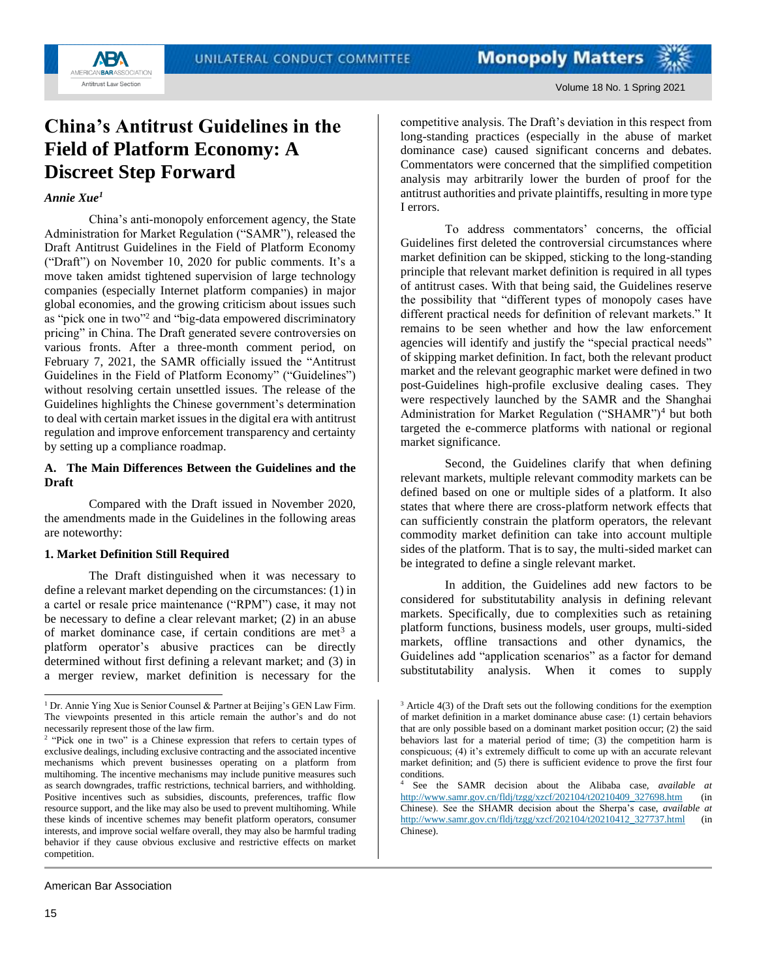# <span id="page-14-0"></span>**China's Antitrust Guidelines in the Field of Platform Economy: A Discreet Step Forward**

#### *Annie Xue<sup>1</sup>*

**AB'** AMERICANBARASSOCIATION Antitrust Law Section

China's anti-monopoly enforcement agency, the State Administration for Market Regulation ("SAMR"), released the Draft Antitrust Guidelines in the Field of Platform Economy ("Draft") on November 10, 2020 for public comments. It's a move taken amidst tightened supervision of large technology companies (especially Internet platform companies) in major global economies, and the growing criticism about issues such as "pick one in two"<sup>2</sup> and "big-data empowered discriminatory pricing" in China. The Draft generated severe controversies on various fronts. After a three-month comment period, on February 7, 2021, the SAMR officially issued the "Antitrust Guidelines in the Field of Platform Economy" ("Guidelines") without resolving certain unsettled issues. The release of the Guidelines highlights the Chinese government's determination to deal with certain market issues in the digital era with antitrust regulation and improve enforcement transparency and certainty by setting up a compliance roadmap.

## **A. The Main Differences Between the Guidelines and the Draft**

Compared with the Draft issued in November 2020, the amendments made in the Guidelines in the following areas are noteworthy:

#### **1. Market Definition Still Required**

The Draft distinguished when it was necessary to define a relevant market depending on the circumstances: (1) in a cartel or resale price maintenance ("RPM") case, it may not be necessary to define a clear relevant market; (2) in an abuse of market dominance case, if certain conditions are met<sup>3</sup> a platform operator's abusive practices can be directly determined without first defining a relevant market; and (3) in a merger review, market definition is necessary for the

American Bar Association

competitive analysis. The Draft's deviation in this respect from long-standing practices (especially in the abuse of market dominance case) caused significant concerns and debates. Commentators were concerned that the simplified competition analysis may arbitrarily lower the burden of proof for the antitrust authorities and private plaintiffs, resulting in more type I errors.

To address commentators' concerns, the official Guidelines first deleted the controversial circumstances where market definition can be skipped, sticking to the long-standing principle that relevant market definition is required in all types of antitrust cases. With that being said, the Guidelines reserve the possibility that "different types of monopoly cases have different practical needs for definition of relevant markets." It remains to be seen whether and how the law enforcement agencies will identify and justify the "special practical needs" of skipping market definition. In fact, both the relevant product market and the relevant geographic market were defined in two post-Guidelines high-profile exclusive dealing cases. They were respectively launched by the SAMR and the Shanghai Administration for Market Regulation ("SHAMR")<sup>4</sup> but both targeted the e-commerce platforms with national or regional market significance.

Second, the Guidelines clarify that when defining relevant markets, multiple relevant commodity markets can be defined based on one or multiple sides of a platform. It also states that where there are cross-platform network effects that can sufficiently constrain the platform operators, the relevant commodity market definition can take into account multiple sides of the platform. That is to say, the multi-sided market can be integrated to define a single relevant market.

In addition, the Guidelines add new factors to be considered for substitutability analysis in defining relevant markets. Specifically, due to complexities such as retaining platform functions, business models, user groups, multi-sided markets, offline transactions and other dynamics, the Guidelines add "application scenarios" as a factor for demand substitutability analysis. When it comes to supply

<sup>&</sup>lt;sup>1</sup> Dr. Annie Ying Xue is Senior Counsel & Partner at Beijing's GEN Law Firm. The viewpoints presented in this article remain the author's and do not necessarily represent those of the law firm.

<sup>&</sup>lt;sup>2</sup> "Pick one in two" is a Chinese expression that refers to certain types of exclusive dealings, including exclusive contracting and the associated incentive mechanisms which prevent businesses operating on a platform from multihoming. The incentive mechanisms may include punitive measures such as search downgrades, traffic restrictions, technical barriers, and withholding. Positive incentives such as subsidies, discounts, preferences, traffic flow resource support, and the like may also be used to prevent multihoming. While these kinds of incentive schemes may benefit platform operators, consumer interests, and improve social welfare overall, they may also be harmful trading behavior if they cause obvious exclusive and restrictive effects on market competition.

 $3$  Article 4(3) of the Draft sets out the following conditions for the exemption of market definition in a market dominance abuse case: (1) certain behaviors that are only possible based on a dominant market position occur; (2) the said behaviors last for a material period of time; (3) the competition harm is conspicuous; (4) it's extremely difficult to come up with an accurate relevant market definition; and (5) there is sufficient evidence to prove the first four conditions.

See the SAMR decision about the Alibaba case, *available at* [http://www.samr.gov.cn/fldj/tzgg/xzcf/202104/t20210409\\_327698.htm](http://www.samr.gov.cn/fldj/tzgg/xzcf/202104/t20210409_327698.htm) (in Chinese). See the SHAMR decision about the Sherpa's case, *available at*  [http://www.samr.gov.cn/fldj/tzgg/xzcf/202104/t20210412\\_327737.html](http://www.samr.gov.cn/fldj/tzgg/xzcf/202104/t20210412_327737.html) (in Chinese).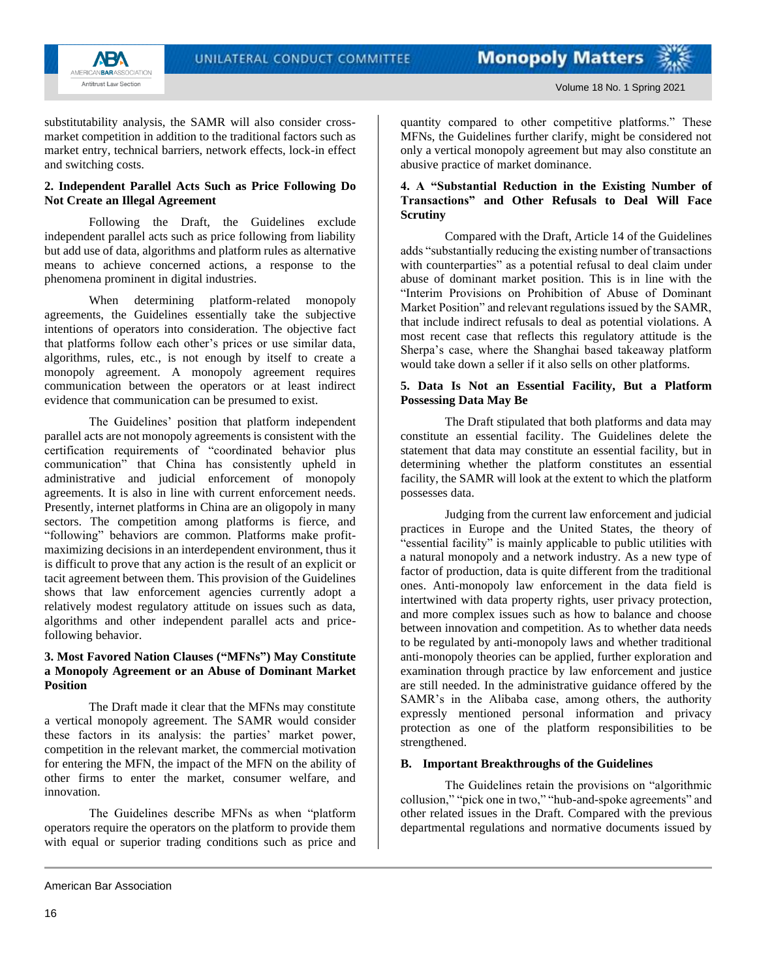

substitutability analysis, the SAMR will also consider crossmarket competition in addition to the traditional factors such as market entry, technical barriers, network effects, lock-in effect and switching costs.

#### **2. Independent Parallel Acts Such as Price Following Do Not Create an Illegal Agreement**

Following the Draft, the Guidelines exclude independent parallel acts such as price following from liability but add use of data, algorithms and platform rules as alternative means to achieve concerned actions, a response to the phenomena prominent in digital industries.

When determining platform-related monopoly agreements, the Guidelines essentially take the subjective intentions of operators into consideration. The objective fact that platforms follow each other's prices or use similar data, algorithms, rules, etc., is not enough by itself to create a monopoly agreement. A monopoly agreement requires communication between the operators or at least indirect evidence that communication can be presumed to exist.

The Guidelines' position that platform independent parallel acts are not monopoly agreements is consistent with the certification requirements of "coordinated behavior plus communication" that China has consistently upheld in administrative and judicial enforcement of monopoly agreements. It is also in line with current enforcement needs. Presently, internet platforms in China are an oligopoly in many sectors. The competition among platforms is fierce, and "following" behaviors are common. Platforms make profitmaximizing decisions in an interdependent environment, thus it is difficult to prove that any action is the result of an explicit or tacit agreement between them. This provision of the Guidelines shows that law enforcement agencies currently adopt a relatively modest regulatory attitude on issues such as data, algorithms and other independent parallel acts and pricefollowing behavior.

## **3. Most Favored Nation Clauses ("MFNs") May Constitute a Monopoly Agreement or an Abuse of Dominant Market Position**

The Draft made it clear that the MFNs may constitute a vertical monopoly agreement. The SAMR would consider these factors in its analysis: the parties' market power, competition in the relevant market, the commercial motivation for entering the MFN, the impact of the MFN on the ability of other firms to enter the market, consumer welfare, and innovation.

The Guidelines describe MFNs as when "platform operators require the operators on the platform to provide them with equal or superior trading conditions such as price and quantity compared to other competitive platforms." These MFNs, the Guidelines further clarify, might be considered not only a vertical monopoly agreement but may also constitute an abusive practice of market dominance.

## **4. A "Substantial Reduction in the Existing Number of Transactions" and Other Refusals to Deal Will Face Scrutiny**

Compared with the Draft, Article 14 of the Guidelines adds "substantially reducing the existing number of transactions with counterparties" as a potential refusal to deal claim under abuse of dominant market position. This is in line with the "Interim Provisions on Prohibition of Abuse of Dominant Market Position" and relevant regulations issued by the SAMR, that include indirect refusals to deal as potential violations. A most recent case that reflects this regulatory attitude is the Sherpa's case, where the Shanghai based takeaway platform would take down a seller if it also sells on other platforms.

#### **5. Data Is Not an Essential Facility, But a Platform Possessing Data May Be**

The Draft stipulated that both platforms and data may constitute an essential facility. The Guidelines delete the statement that data may constitute an essential facility, but in determining whether the platform constitutes an essential facility, the SAMR will look at the extent to which the platform possesses data.

Judging from the current law enforcement and judicial practices in Europe and the United States, the theory of "essential facility" is mainly applicable to public utilities with a natural monopoly and a network industry. As a new type of factor of production, data is quite different from the traditional ones. Anti-monopoly law enforcement in the data field is intertwined with data property rights, user privacy protection, and more complex issues such as how to balance and choose between innovation and competition. As to whether data needs to be regulated by anti-monopoly laws and whether traditional anti-monopoly theories can be applied, further exploration and examination through practice by law enforcement and justice are still needed. In the administrative guidance offered by the SAMR's in the Alibaba case, among others, the authority expressly mentioned personal information and privacy protection as one of the platform responsibilities to be strengthened.

## **B. Important Breakthroughs of the Guidelines**

The Guidelines retain the provisions on "algorithmic collusion," "pick one in two," "hub-and-spoke agreements" and other related issues in the Draft. Compared with the previous departmental regulations and normative documents issued by

American Bar Association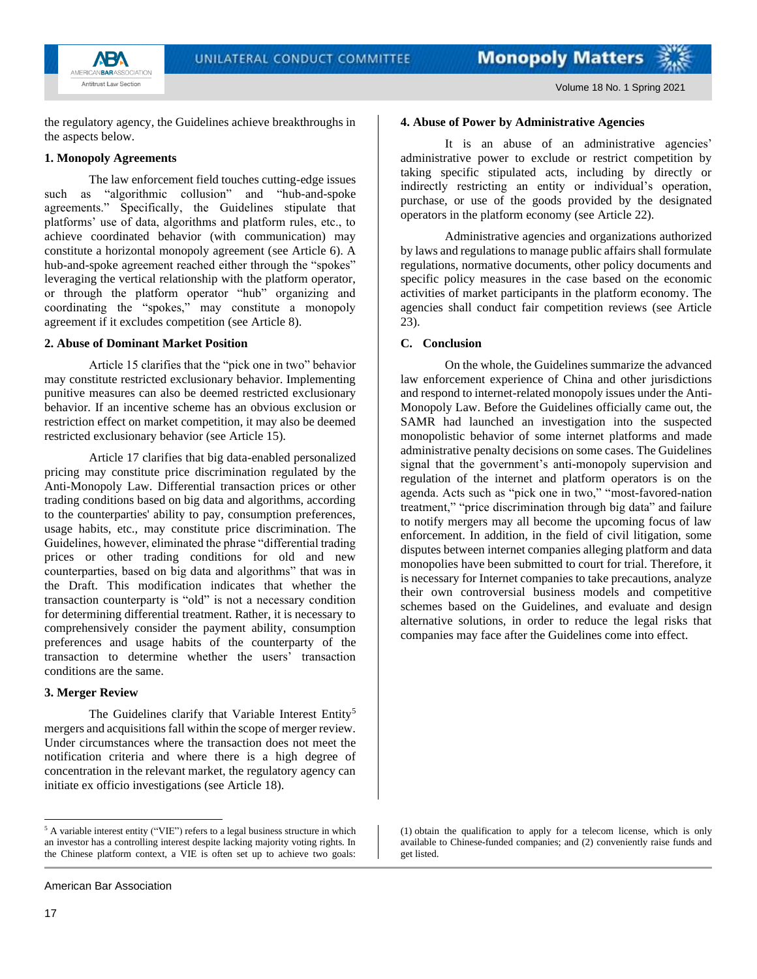



Volume 18 No. 1 Spring 2021

the regulatory agency, the Guidelines achieve breakthroughs in the aspects below.

## **1. Monopoly Agreements**

The law enforcement field touches cutting-edge issues such as "algorithmic collusion" and "hub-and-spoke agreements." Specifically, the Guidelines stipulate that platforms' use of data, algorithms and platform rules, etc., to achieve coordinated behavior (with communication) may constitute a horizontal monopoly agreement (see Article 6). A hub-and-spoke agreement reached either through the "spokes" leveraging the vertical relationship with the platform operator, or through the platform operator "hub" organizing and coordinating the "spokes," may constitute a monopoly agreement if it excludes competition (see Article 8).

## **2. Abuse of Dominant Market Position**

Article 15 clarifies that the "pick one in two" behavior may constitute restricted exclusionary behavior. Implementing punitive measures can also be deemed restricted exclusionary behavior. If an incentive scheme has an obvious exclusion or restriction effect on market competition, it may also be deemed restricted exclusionary behavior (see Article 15).

Article 17 clarifies that big data-enabled personalized pricing may constitute price discrimination regulated by the Anti-Monopoly Law. Differential transaction prices or other trading conditions based on big data and algorithms, according to the counterparties' ability to pay, consumption preferences, usage habits, etc., may constitute price discrimination. The Guidelines, however, eliminated the phrase "differential trading prices or other trading conditions for old and new counterparties, based on big data and algorithms" that was in the Draft. This modification indicates that whether the transaction counterparty is "old" is not a necessary condition for determining differential treatment. Rather, it is necessary to comprehensively consider the payment ability, consumption preferences and usage habits of the counterparty of the transaction to determine whether the users' transaction conditions are the same.

## **3. Merger Review**

The Guidelines clarify that Variable Interest Entity<sup>5</sup> mergers and acquisitions fall within the scope of merger review. Under circumstances where the transaction does not meet the notification criteria and where there is a high degree of concentration in the relevant market, the regulatory agency can initiate ex officio investigations (see Article 18).

**4. Abuse of Power by Administrative Agencies**

It is an abuse of an administrative agencies' administrative power to exclude or restrict competition by taking specific stipulated acts, including by directly or indirectly restricting an entity or individual's operation, purchase, or use of the goods provided by the designated operators in the platform economy (see Article 22).

Administrative agencies and organizations authorized by laws and regulations to manage public affairs shall formulate regulations, normative documents, other policy documents and specific policy measures in the case based on the economic activities of market participants in the platform economy. The agencies shall conduct fair competition reviews (see Article 23).

## **C. Conclusion**

On the whole, the Guidelines summarize the advanced law enforcement experience of China and other jurisdictions and respond to internet-related monopoly issues under the Anti-Monopoly Law. Before the Guidelines officially came out, the SAMR had launched an investigation into the suspected monopolistic behavior of some internet platforms and made administrative penalty decisions on some cases. The Guidelines signal that the government's anti-monopoly supervision and regulation of the internet and platform operators is on the agenda. Acts such as "pick one in two," "most-favored-nation treatment," "price discrimination through big data" and failure to notify mergers may all become the upcoming focus of law enforcement. In addition, in the field of civil litigation, some disputes between internet companies alleging platform and data monopolies have been submitted to court for trial. Therefore, it is necessary for Internet companies to take precautions, analyze their own controversial business models and competitive schemes based on the Guidelines, and evaluate and design alternative solutions, in order to reduce the legal risks that companies may face after the Guidelines come into effect.

(1) obtain the qualification to apply for a telecom license, which is only available to Chinese-funded companies; and (2) conveniently raise funds and get listed.

<sup>&</sup>lt;sup>5</sup> A variable interest entity ("VIE") refers to a legal business structure in which an investor has a controlling interest despite lacking majority voting rights. In the Chinese platform context, a VIE is often set up to achieve two goals: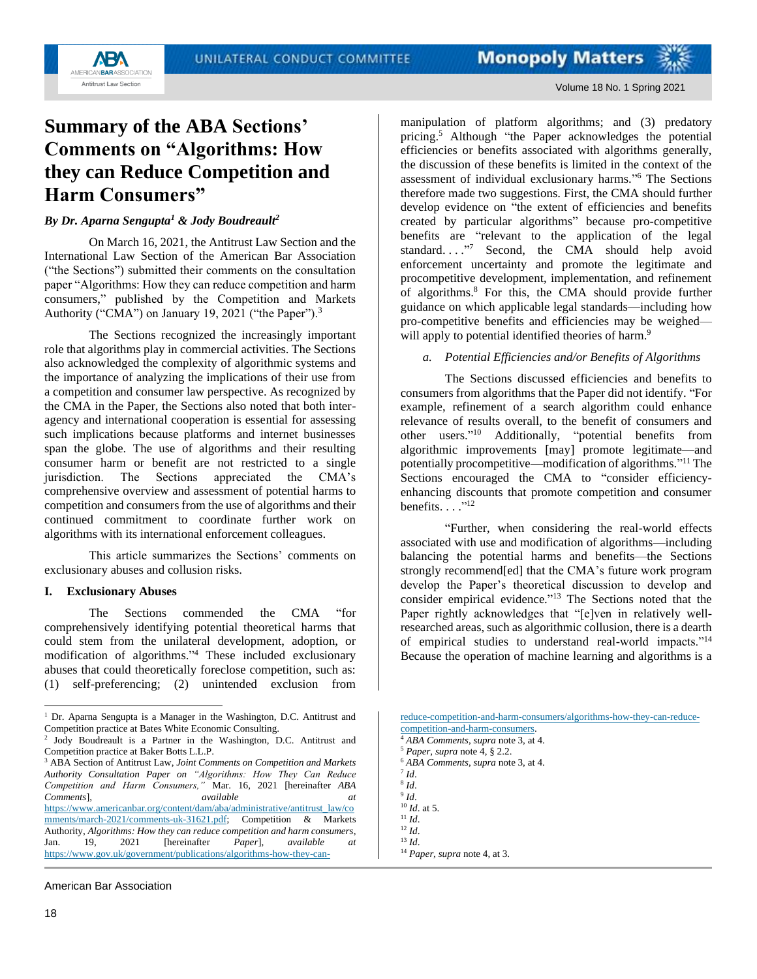

# <span id="page-17-0"></span>**Summary of the ABA Sections' Comments on "Algorithms: How they can Reduce Competition and Harm Consumers"**

*By Dr. Aparna Sengupta<sup>1</sup> & Jody Boudreault<sup>2</sup>*

On March 16, 2021, the Antitrust Law Section and the International Law Section of the American Bar Association ("the Sections") submitted their comments on the consultation paper "Algorithms: How they can reduce competition and harm consumers," published by the Competition and Markets Authority ("CMA") on January 19, 2021 ("the Paper").<sup>3</sup>

The Sections recognized the increasingly important role that algorithms play in commercial activities. The Sections also acknowledged the complexity of algorithmic systems and the importance of analyzing the implications of their use from a competition and consumer law perspective. As recognized by the CMA in the Paper, the Sections also noted that both interagency and international cooperation is essential for assessing such implications because platforms and internet businesses span the globe. The use of algorithms and their resulting consumer harm or benefit are not restricted to a single jurisdiction. The Sections appreciated the CMA's comprehensive overview and assessment of potential harms to competition and consumers from the use of algorithms and their continued commitment to coordinate further work on algorithms with its international enforcement colleagues.

This article summarizes the Sections' comments on exclusionary abuses and collusion risks.

#### **I. Exclusionary Abuses**

The Sections commended the CMA "for comprehensively identifying potential theoretical harms that could stem from the unilateral development, adoption, or modification of algorithms." <sup>4</sup> These included exclusionary abuses that could theoretically foreclose competition, such as: (1) self-preferencing; (2) unintended exclusion from

American Bar Association

manipulation of platform algorithms; and (3) predatory pricing.<sup>5</sup> Although "the Paper acknowledges the potential efficiencies or benefits associated with algorithms generally, the discussion of these benefits is limited in the context of the assessment of individual exclusionary harms." <sup>6</sup> The Sections therefore made two suggestions. First, the CMA should further develop evidence on "the extent of efficiencies and benefits created by particular algorithms" because pro-competitive benefits are "relevant to the application of the legal standard...."<sup>7</sup> Second, the CMA should help avoid enforcement uncertainty and promote the legitimate and procompetitive development, implementation, and refinement of algorithms. <sup>8</sup> For this, the CMA should provide further guidance on which applicable legal standards—including how pro-competitive benefits and efficiencies may be weighed will apply to potential identified theories of harm.<sup>9</sup>

### *a. Potential Efficiencies and/or Benefits of Algorithms*

The Sections discussed efficiencies and benefits to consumers from algorithms that the Paper did not identify. "For example, refinement of a search algorithm could enhance relevance of results overall, to the benefit of consumers and other users." <sup>10</sup> Additionally, "potential benefits from algorithmic improvements [may] promote legitimate—and potentially procompetitive—modification of algorithms." <sup>11</sup> The Sections encouraged the CMA to "consider efficiencyenhancing discounts that promote competition and consumer benefits.  $\ldots$ ."<sup>12</sup>

"Further, when considering the real-world effects associated with use and modification of algorithms—including balancing the potential harms and benefits—the Sections strongly recommend[ed] that the CMA's future work program develop the Paper's theoretical discussion to develop and consider empirical evidence."<sup>13</sup> The Sections noted that the Paper rightly acknowledges that "[e]ven in relatively wellresearched areas, such as algorithmic collusion, there is a dearth of empirical studies to understand real-world impacts."<sup>14</sup> Because the operation of machine learning and algorithms is a

[reduce-competition-and-harm-consumers/algorithms-how-they-can-reduce](https://www.gov.uk/government/publications/algorithms-how-they-can-reduce-competition-and-harm-consumers/algorithms-how-they-can-reduce-competition-and-harm-consumers)[competition-and-harm-consumers.](https://www.gov.uk/government/publications/algorithms-how-they-can-reduce-competition-and-harm-consumers/algorithms-how-they-can-reduce-competition-and-harm-consumers)

- <sup>6</sup> *ABA Comments*, *supra* note 3, at 4.
- 7 *Id*.

<sup>10</sup> *Id*. at 5.

<sup>&</sup>lt;sup>1</sup> Dr. Aparna Sengupta is a Manager in the Washington, D.C. Antitrust and Competition practice at Bates White Economic Consulting.

<sup>2</sup> Jody Boudreault is a Partner in the Washington, D.C. Antitrust and Competition practice at Baker Botts L.L.P.

<sup>3</sup> ABA Section of Antitrust Law, *Joint Comments on Competition and Markets Authority Consultation Paper on "Algorithms: How They Can Reduce Competition and Harm Consumers,"* Mar. 16, 2021 [hereinafter *ABA Comments*], *available at* [https://www.americanbar.org/content/dam/aba/administrative/antitrust\\_law/co](https://www.americanbar.org/content/dam/aba/administrative/antitrust_law/comments/march-2021/comments-uk-31621.pdf) [mments/march-2021/comments-uk-31621.pdf;](https://www.americanbar.org/content/dam/aba/administrative/antitrust_law/comments/march-2021/comments-uk-31621.pdf) Competition & Markets Authority, *Algorithms: How they can reduce competition and harm consumers*,<br>Jan. 19, 2021 [hereinafter *Paper*], available at [hereinafter *Paper*], *available at* [https://www.gov.uk/government/publications/algorithms-how-they-can-](https://www.gov.uk/government/publications/algorithms-how-they-can-reduce-competition-and-harm-consumers/algorithms-how-they-can-reduce-competition-and-harm-consumers)

<sup>4</sup> *ABA Comments*, *supra* note 3, at 4.

<sup>5</sup> *Paper*, *supra* note 4, § 2.2.

<sup>8</sup> *Id*.

<sup>9</sup> *Id*.

<sup>11</sup> *Id*.

<sup>12</sup> *Id*. <sup>13</sup> *Id*.

<sup>14</sup> *Paper*, *supra* note 4, at 3.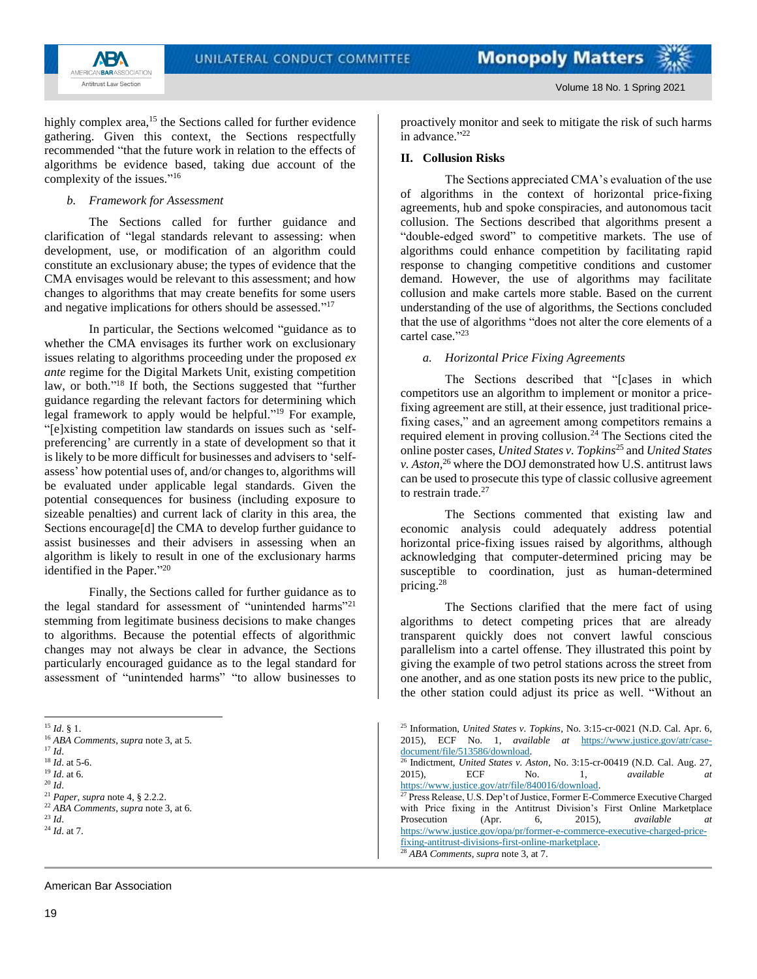The Sections appreciated CMA's evaluation of the use

The Sections described that "[c]ases in which

The Sections commented that existing law and

The Sections clarified that the mere fact of using

economic analysis could adequately address potential horizontal price-fixing issues raised by algorithms, although acknowledging that computer-determined pricing may be susceptible to coordination, just as human-determined

algorithms to detect competing prices that are already transparent quickly does not convert lawful conscious parallelism into a cartel offense. They illustrated this point by giving the example of two petrol stations across the street from one another, and as one station posts its new price to the public, the other station could adjust its price as well. "Without an

<sup>25</sup> Information, *United States v. Topkins*, No. 3:15-cr-0021 (N.D. Cal. Apr. 6, 2015), ECF No. 1, *available at* [https://www.justice.gov/atr/case-](https://www.justice.gov/atr/case-document/file/513586/download)

<sup>26</sup> Indictment, *United States v. Aston*, No. 3:15-cr-00419 (N.D. Cal. Aug. 27, 2015), ECF No. 1, *available at*

Press Release, U.S. Dep't of Justice, Former E-Commerce Executive Charged with Price fixing in the Antitrust Division's First Online Marketplace Prosecution (Apr. 6, 2015), *available at* [https://www.justice.gov/opa/pr/former-e-commerce-executive-charged-price-](https://www.justice.gov/opa/pr/former-e-commerce-executive-charged-price-fixing-antitrust-divisions-first-online-marketplace)

competitors use an algorithm to implement or monitor a pricefixing agreement are still, at their essence, just traditional pricefixing cases," and an agreement among competitors remains a required element in proving collusion.<sup>24</sup> The Sections cited the online poster cases, *United States v. Topkins*<sup>25</sup> and *United States v. Aston,*<sup>26</sup> where the DOJ demonstrated how U.S. antitrust laws can be used to prosecute this type of classic collusive agreement

proactively monitor and seek to mitigate the risk of such harms

of algorithms in the context of horizontal price-fixing agreements, hub and spoke conspiracies, and autonomous tacit collusion. The Sections described that algorithms present a "double-edged sword" to competitive markets. The use of algorithms could enhance competition by facilitating rapid response to changing competitive conditions and customer demand. However, the use of algorithms may facilitate collusion and make cartels more stable. Based on the current understanding of the use of algorithms, the Sections concluded that the use of algorithms "does not alter the core elements of a

*a. Horizontal Price Fixing Agreements*

in advance."<sup>22</sup>

cartel case."23

to restrain trade.<sup>27</sup>

 $\frac{\text{document/file/513586}/\text{download}}{26 \text{ Indict}}$ .

[https://www.justice.gov/atr/file/840016/download.](https://www.justice.gov/atr/file/840016/download)

[fixing-antitrust-divisions-first-online-marketplace.](https://www.justice.gov/opa/pr/former-e-commerce-executive-charged-price-fixing-antitrust-divisions-first-online-marketplace)

<sup>28</sup> *ABA Comments*, *supra* note 3, at 7.

pricing.<sup>28</sup>

**II. Collusion Risks**



Volume 18 No. 1 Spring 2021

highly complex area,<sup>15</sup> the Sections called for further evidence gathering. Given this context, the Sections respectfully recommended "that the future work in relation to the effects of algorithms be evidence based, taking due account of the complexity of the issues." 16

#### *b. Framework for Assessment*

The Sections called for further guidance and clarification of "legal standards relevant to assessing: when development, use, or modification of an algorithm could constitute an exclusionary abuse; the types of evidence that the CMA envisages would be relevant to this assessment; and how changes to algorithms that may create benefits for some users and negative implications for others should be assessed."<sup>17</sup>

In particular, the Sections welcomed "guidance as to whether the CMA envisages its further work on exclusionary issues relating to algorithms proceeding under the proposed *ex ante* regime for the Digital Markets Unit, existing competition law, or both." <sup>18</sup> If both, the Sections suggested that "further guidance regarding the relevant factors for determining which legal framework to apply would be helpful." <sup>19</sup> For example, "[e]xisting competition law standards on issues such as 'selfpreferencing' are currently in a state of development so that it is likely to be more difficult for businesses and advisers to 'selfassess' how potential uses of, and/or changes to, algorithms will be evaluated under applicable legal standards. Given the potential consequences for business (including exposure to sizeable penalties) and current lack of clarity in this area, the Sections encourage<sup>[d]</sup> the CMA to develop further guidance to assist businesses and their advisers in assessing when an algorithm is likely to result in one of the exclusionary harms identified in the Paper." 20

Finally, the Sections called for further guidance as to the legal standard for assessment of "unintended harms"<sup>21</sup> stemming from legitimate business decisions to make changes to algorithms. Because the potential effects of algorithmic changes may not always be clear in advance, the Sections particularly encouraged guidance as to the legal standard for assessment of "unintended harms" "to allow businesses to

#### American Bar Association

 $^{15}$   $ld.$   $\S$  1.

<sup>16</sup> *ABA Comments*, *supra* note 3, at 5.

 $17$  *Id.* 

<sup>18</sup> *Id*. at 5-6. <sup>19</sup> *Id*. at 6.

<sup>20</sup> *Id*.

<sup>21</sup> *Paper*, *supra* note 4, § 2.2.2. <sup>22</sup> *ABA Comments*, *supra* note 3, at 6.

<sup>23</sup> *Id*.

<sup>24</sup> *Id*. at 7.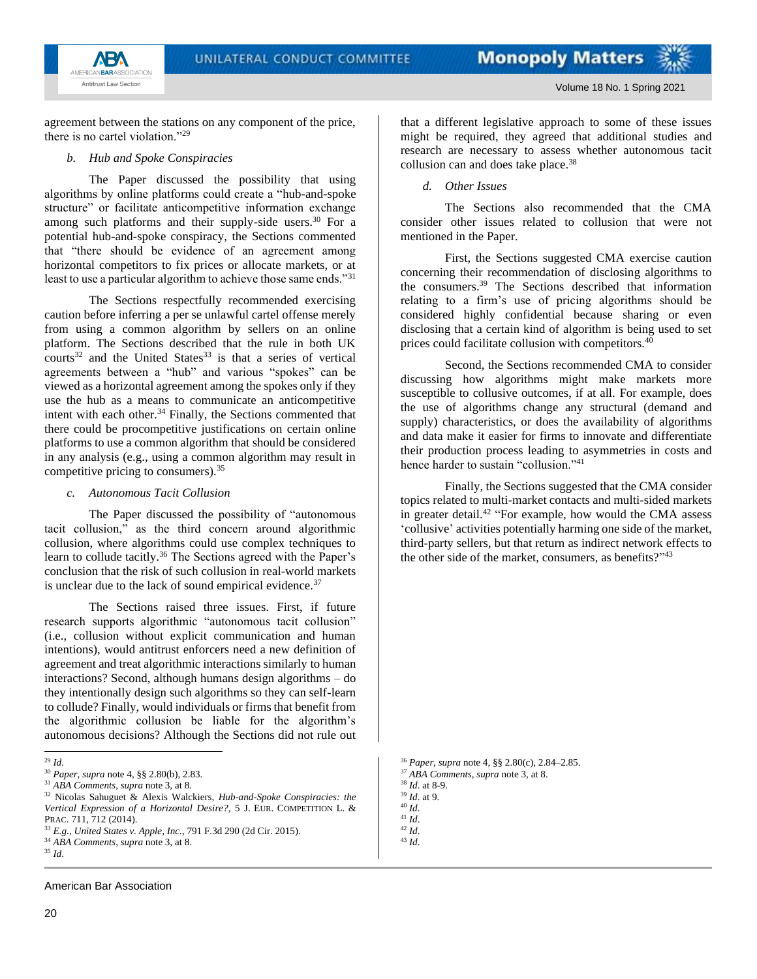

agreement between the stations on any component of the price, there is no cartel violation."<sup>29</sup>

#### *b. Hub and Spoke Conspiracies*

The Paper discussed the possibility that using algorithms by online platforms could create a "hub-and-spoke structure" or facilitate anticompetitive information exchange among such platforms and their supply-side users.<sup>30</sup> For a potential hub-and-spoke conspiracy, the Sections commented that "there should be evidence of an agreement among horizontal competitors to fix prices or allocate markets, or at least to use a particular algorithm to achieve those same ends."<sup>31</sup>

The Sections respectfully recommended exercising caution before inferring a per se unlawful cartel offense merely from using a common algorithm by sellers on an online platform. The Sections described that the rule in both UK  $\text{counts}^{32}$  and the United States<sup>33</sup> is that a series of vertical agreements between a "hub" and various "spokes" can be viewed as a horizontal agreement among the spokes only if they use the hub as a means to communicate an anticompetitive intent with each other.<sup>34</sup> Finally, the Sections commented that there could be procompetitive justifications on certain online platforms to use a common algorithm that should be considered in any analysis (e.g., using a common algorithm may result in competitive pricing to consumers).<sup>35</sup>

#### *c. Autonomous Tacit Collusion*

The Paper discussed the possibility of "autonomous tacit collusion," as the third concern around algorithmic collusion, where algorithms could use complex techniques to learn to collude tacitly.<sup>36</sup> The Sections agreed with the Paper's conclusion that the risk of such collusion in real-world markets is unclear due to the lack of sound empirical evidence.<sup>37</sup>

The Sections raised three issues. First, if future research supports algorithmic "autonomous tacit collusion" (i.e., collusion without explicit communication and human intentions), would antitrust enforcers need a new definition of agreement and treat algorithmic interactions similarly to human interactions? Second, although humans design algorithms – do they intentionally design such algorithms so they can self-learn to collude? Finally, would individuals or firms that benefit from the algorithmic collusion be liable for the algorithm's autonomous decisions? Although the Sections did not rule out

American Bar Association

that a different legislative approach to some of these issues might be required, they agreed that additional studies and research are necessary to assess whether autonomous tacit collusion can and does take place.<sup>38</sup>

*d. Other Issues*

The Sections also recommended that the CMA consider other issues related to collusion that were not mentioned in the Paper.

First, the Sections suggested CMA exercise caution concerning their recommendation of disclosing algorithms to the consumers.<sup>39</sup> The Sections described that information relating to a firm's use of pricing algorithms should be considered highly confidential because sharing or even disclosing that a certain kind of algorithm is being used to set prices could facilitate collusion with competitors.<sup>40</sup>

Second, the Sections recommended CMA to consider discussing how algorithms might make markets more susceptible to collusive outcomes, if at all. For example, does the use of algorithms change any structural (demand and supply) characteristics, or does the availability of algorithms and data make it easier for firms to innovate and differentiate their production process leading to asymmetries in costs and hence harder to sustain "collusion."<sup>41</sup>

Finally, the Sections suggested that the CMA consider topics related to multi-market contacts and multi-sided markets in greater detail.<sup>42</sup> "For example, how would the CMA assess 'collusive' activities potentially harming one side of the market, third-party sellers, but that return as indirect network effects to the other side of the market, consumers, as benefits?"<sup>43</sup>

<sup>36</sup> *Paper*, *supra* note 4, §§ 2.80(c), 2.84–2.85.

<sup>37</sup> *ABA Comments*, *supra* note 3, at 8.

<sup>40</sup> *Id*.

<sup>29</sup> *Id*.

<sup>30</sup> *Paper*, *supra* note 4, §§ 2.80(b), 2.83.

<sup>31</sup> *ABA Comments*, *supra* note 3, at 8.

<sup>32</sup> Nicolas Sahuguet & Alexis Walckiers, *Hub-and-Spoke Conspiracies: the Vertical Expression of a Horizontal Desire?*, 5 J. EUR. COMPETITION L. & PRAC. 711, 712 (2014).

<sup>33</sup> *E.g.*, *United States v. Apple, Inc.*, 791 F.3d 290 (2d Cir. 2015).

<sup>34</sup> *ABA Comments*, *supra* note 3, at 8.

<sup>35</sup> *Id*.

<sup>38</sup> *Id*. at 8-9.

<sup>39</sup> *Id*. at 9.

<sup>41</sup> *Id*.

<sup>42</sup> *Id*.

<sup>43</sup> *Id*.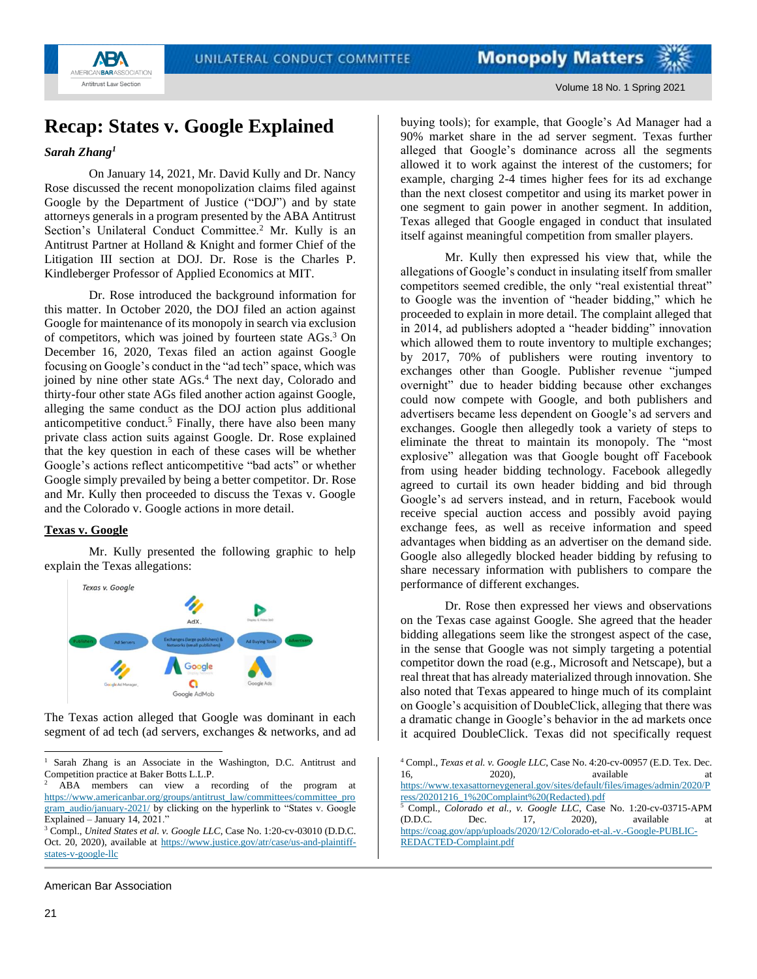

## <span id="page-20-0"></span>**Recap: States v. Google Explained**

## *Sarah Zhang<sup>1</sup>*

On January 14, 2021, Mr. David Kully and Dr. Nancy Rose discussed the recent monopolization claims filed against Google by the Department of Justice ("DOJ") and by state attorneys generals in a program presented by the ABA Antitrust Section's Unilateral Conduct Committee.<sup>2</sup> Mr. Kully is an Antitrust Partner at Holland & Knight and former Chief of the Litigation III section at DOJ. Dr. Rose is the Charles P. Kindleberger Professor of Applied Economics at MIT.

Dr. Rose introduced the background information for this matter. In October 2020, the DOJ filed an action against Google for maintenance of its monopoly in search via exclusion of competitors, which was joined by fourteen state AGs.<sup>3</sup> On December 16, 2020, Texas filed an action against Google focusing on Google's conduct in the "ad tech" space, which was joined by nine other state AGs.<sup>4</sup> The next day, Colorado and thirty-four other state AGs filed another action against Google, alleging the same conduct as the DOJ action plus additional anticompetitive conduct.<sup>5</sup> Finally, there have also been many private class action suits against Google. Dr. Rose explained that the key question in each of these cases will be whether Google's actions reflect anticompetitive "bad acts" or whether Google simply prevailed by being a better competitor. Dr. Rose and Mr. Kully then proceeded to discuss the Texas v. Google and the Colorado v. Google actions in more detail.

## **Texas v. Google**

Mr. Kully presented the following graphic to help explain the Texas allegations:



The Texas action alleged that Google was dominant in each segment of ad tech (ad servers, exchanges & networks, and ad

American Bar Association

buying tools); for example, that Google's Ad Manager had a 90% market share in the ad server segment. Texas further alleged that Google's dominance across all the segments allowed it to work against the interest of the customers; for example, charging 2-4 times higher fees for its ad exchange than the next closest competitor and using its market power in one segment to gain power in another segment. In addition, Texas alleged that Google engaged in conduct that insulated itself against meaningful competition from smaller players.

Mr. Kully then expressed his view that, while the allegations of Google's conduct in insulating itself from smaller competitors seemed credible, the only "real existential threat" to Google was the invention of "header bidding," which he proceeded to explain in more detail. The complaint alleged that in 2014, ad publishers adopted a "header bidding" innovation which allowed them to route inventory to multiple exchanges; by 2017, 70% of publishers were routing inventory to exchanges other than Google. Publisher revenue "jumped overnight" due to header bidding because other exchanges could now compete with Google, and both publishers and advertisers became less dependent on Google's ad servers and exchanges. Google then allegedly took a variety of steps to eliminate the threat to maintain its monopoly. The "most explosive" allegation was that Google bought off Facebook from using header bidding technology. Facebook allegedly agreed to curtail its own header bidding and bid through Google's ad servers instead, and in return, Facebook would receive special auction access and possibly avoid paying exchange fees, as well as receive information and speed advantages when bidding as an advertiser on the demand side. Google also allegedly blocked header bidding by refusing to share necessary information with publishers to compare the performance of different exchanges.

Dr. Rose then expressed her views and observations on the Texas case against Google. She agreed that the header bidding allegations seem like the strongest aspect of the case, in the sense that Google was not simply targeting a potential competitor down the road (e.g., Microsoft and Netscape), but a real threat that has already materialized through innovation. She also noted that Texas appeared to hinge much of its complaint on Google's acquisition of DoubleClick, alleging that there was a dramatic change in Google's behavior in the ad markets once it acquired DoubleClick. Texas did not specifically request

<sup>1</sup> Sarah Zhang is an Associate in the Washington, D.C. Antitrust and Competition practice at Baker Botts L.L.P.

<sup>2</sup> ABA members can view a recording of the program at [https://www.americanbar.org/groups/antitrust\\_law/committees/committee\\_pro](https://www.americanbar.org/groups/antitrust_law/committees/committee_program_audio/january-2021/) [gram\\_audio/january-2021/](https://www.americanbar.org/groups/antitrust_law/committees/committee_program_audio/january-2021/) by clicking on the hyperlink to "States v. Google Explained – January 14, 2021."

<sup>3</sup> Compl., *United States et al. v. Google LLC*, Case No. 1:20-cv-03010 (D.D.C. Oct. 20, 2020), available at [https://www.justice.gov/atr/case/us-and-plaintiff](https://www.justice.gov/atr/case/us-and-plaintiff-states-v-google-llc)[states-v-google-llc](https://www.justice.gov/atr/case/us-and-plaintiff-states-v-google-llc)

<sup>4</sup> Compl., *Texas et al. v. Google LLC*, Case No. 4:20-cv-00957 (E.D. Tex. Dec. 16, 2020), available at [https://www.texasattorneygeneral.gov/sites/default/files/images/admin/2020/P](https://www.texasattorneygeneral.gov/sites/default/files/images/admin/2020/Press/20201216_1%20Complaint%20(Redacted).pdf) [ress/20201216\\_1%20Complaint%20\(Redacted\).pdf](https://www.texasattorneygeneral.gov/sites/default/files/images/admin/2020/Press/20201216_1%20Complaint%20(Redacted).pdf)<br>5\_Complaint%20(Redacted).pdf <sup>5</sup> Compl., *Colorado et al., v. Google LLC*, Case No. 1:20-cv-03715-APM (D.D.C. Dec. 17, 2020), available at [https://coag.gov/app/uploads/2020/12/Colorado-et-al.-v.-Google-PUBLIC-](https://coag.gov/app/uploads/2020/12/Colorado-et-al.-v.-Google-PUBLIC-REDACTED-Complaint.pdf)[REDACTED-Complaint.pdf](https://coag.gov/app/uploads/2020/12/Colorado-et-al.-v.-Google-PUBLIC-REDACTED-Complaint.pdf)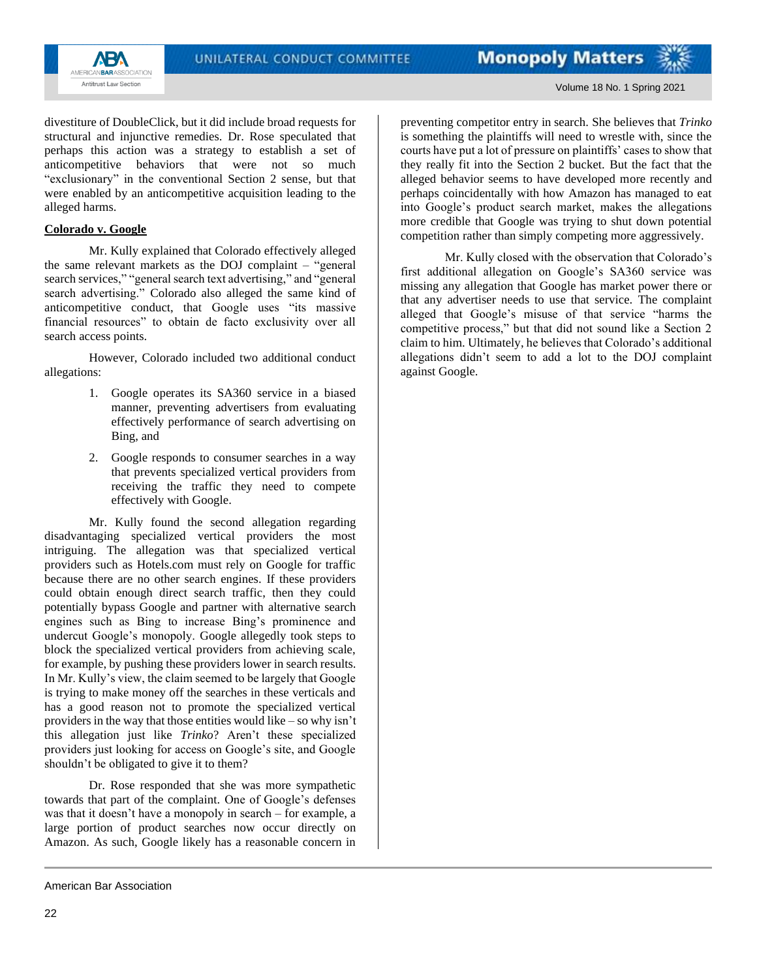

Volume 18 No. 1 Spring 2021

divestiture of DoubleClick, but it did include broad requests for structural and injunctive remedies. Dr. Rose speculated that perhaps this action was a strategy to establish a set of anticompetitive behaviors that were not so much "exclusionary" in the conventional Section 2 sense, but that were enabled by an anticompetitive acquisition leading to the alleged harms.

## **Colorado v. Google**

Mr. Kully explained that Colorado effectively alleged the same relevant markets as the DOJ complaint – "general search services," "general search text advertising," and "general search advertising." Colorado also alleged the same kind of anticompetitive conduct, that Google uses "its massive financial resources" to obtain de facto exclusivity over all search access points.

However, Colorado included two additional conduct allegations:

- 1. Google operates its SA360 service in a biased manner, preventing advertisers from evaluating effectively performance of search advertising on Bing, and
- 2. Google responds to consumer searches in a way that prevents specialized vertical providers from receiving the traffic they need to compete effectively with Google.

Mr. Kully found the second allegation regarding disadvantaging specialized vertical providers the most intriguing. The allegation was that specialized vertical providers such as Hotels.com must rely on Google for traffic because there are no other search engines. If these providers could obtain enough direct search traffic, then they could potentially bypass Google and partner with alternative search engines such as Bing to increase Bing's prominence and undercut Google's monopoly. Google allegedly took steps to block the specialized vertical providers from achieving scale, for example, by pushing these providers lower in search results. In Mr. Kully's view, the claim seemed to be largely that Google is trying to make money off the searches in these verticals and has a good reason not to promote the specialized vertical providers in the way that those entities would like – so why isn't this allegation just like *Trinko*? Aren't these specialized providers just looking for access on Google's site, and Google shouldn't be obligated to give it to them?

Dr. Rose responded that she was more sympathetic towards that part of the complaint. One of Google's defenses was that it doesn't have a monopoly in search – for example, a large portion of product searches now occur directly on Amazon. As such, Google likely has a reasonable concern in preventing competitor entry in search. She believes that *Trinko* is something the plaintiffs will need to wrestle with, since the courts have put a lot of pressure on plaintiffs' cases to show that they really fit into the Section 2 bucket. But the fact that the alleged behavior seems to have developed more recently and perhaps coincidentally with how Amazon has managed to eat into Google's product search market, makes the allegations more credible that Google was trying to shut down potential competition rather than simply competing more aggressively.

Mr. Kully closed with the observation that Colorado's first additional allegation on Google's SA360 service was missing any allegation that Google has market power there or that any advertiser needs to use that service. The complaint alleged that Google's misuse of that service "harms the competitive process," but that did not sound like a Section 2 claim to him. Ultimately, he believes that Colorado's additional allegations didn't seem to add a lot to the DOJ complaint against Google.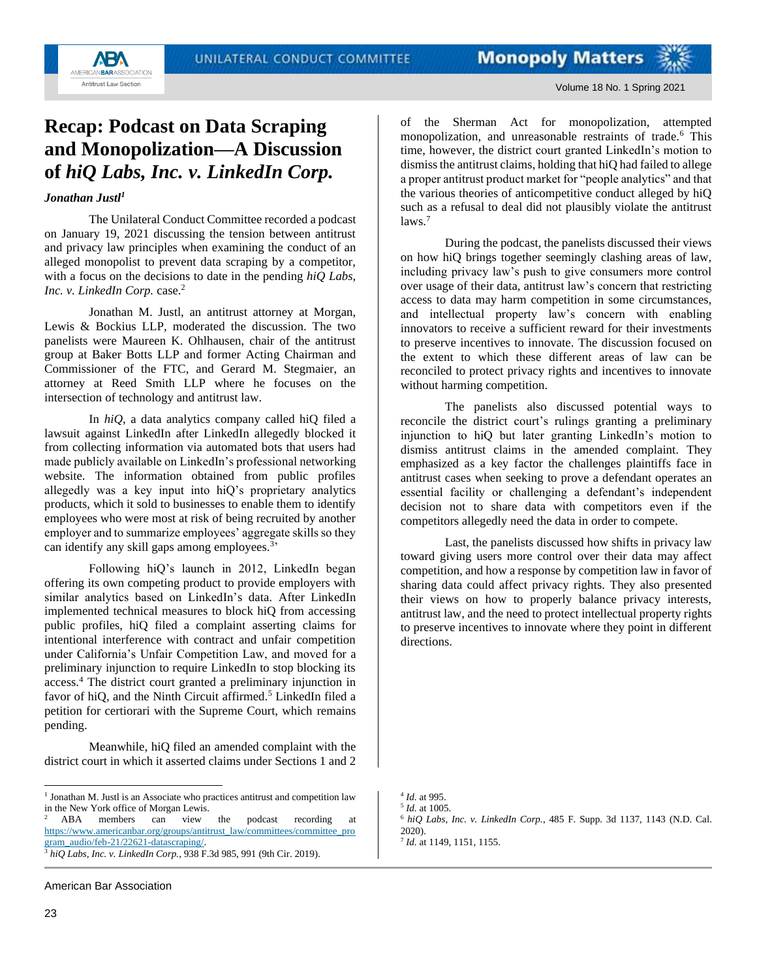

# <span id="page-22-0"></span>**Recap: Podcast on Data Scraping and Monopolization—A Discussion of** *hiQ Labs, Inc. v. LinkedIn Corp.*

### *Jonathan Justl<sup>1</sup>*

The Unilateral Conduct Committee recorded a podcast on January 19, 2021 discussing the tension between antitrust and privacy law principles when examining the conduct of an alleged monopolist to prevent data scraping by a competitor, with a focus on the decisions to date in the pending *hiQ Labs, Inc. v. LinkedIn Corp.* case.<sup>2</sup>

Jonathan M. Justl, an antitrust attorney at Morgan, Lewis & Bockius LLP, moderated the discussion. The two panelists were Maureen K. Ohlhausen, chair of the antitrust group at Baker Botts LLP and former Acting Chairman and Commissioner of the FTC, and Gerard M. Stegmaier, an attorney at Reed Smith LLP where he focuses on the intersection of technology and antitrust law.

In *hiQ*, a data analytics company called hiQ filed a lawsuit against LinkedIn after LinkedIn allegedly blocked it from collecting information via automated bots that users had made publicly available on LinkedIn's professional networking website. The information obtained from public profiles allegedly was a key input into hiQ's proprietary analytics products, which it sold to businesses to enable them to identify employees who were most at risk of being recruited by another employer and to summarize employees' aggregate skills so they can identify any skill gaps among employees.<sup>3</sup>

Following hiQ's launch in 2012, LinkedIn began offering its own competing product to provide employers with similar analytics based on LinkedIn's data. After LinkedIn implemented technical measures to block hiQ from accessing public profiles, hiQ filed a complaint asserting claims for intentional interference with contract and unfair competition under California's Unfair Competition Law, and moved for a preliminary injunction to require LinkedIn to stop blocking its access.<sup>4</sup> The district court granted a preliminary injunction in favor of hiQ, and the Ninth Circuit affirmed.<sup>5</sup> LinkedIn filed a petition for certiorari with the Supreme Court, which remains pending.

Meanwhile, hiQ filed an amended complaint with the district court in which it asserted claims under Sections 1 and 2

During the podcast, the panelists discussed their views on how hiQ brings together seemingly clashing areas of law, including privacy law's push to give consumers more control over usage of their data, antitrust law's concern that restricting access to data may harm competition in some circumstances, and intellectual property law's concern with enabling innovators to receive a sufficient reward for their investments to preserve incentives to innovate. The discussion focused on the extent to which these different areas of law can be reconciled to protect privacy rights and incentives to innovate without harming competition.

The panelists also discussed potential ways to reconcile the district court's rulings granting a preliminary injunction to hiQ but later granting LinkedIn's motion to dismiss antitrust claims in the amended complaint. They emphasized as a key factor the challenges plaintiffs face in antitrust cases when seeking to prove a defendant operates an essential facility or challenging a defendant's independent decision not to share data with competitors even if the competitors allegedly need the data in order to compete.

Last, the panelists discussed how shifts in privacy law toward giving users more control over their data may affect competition, and how a response by competition law in favor of sharing data could affect privacy rights. They also presented their views on how to properly balance privacy interests, antitrust law, and the need to protect intellectual property rights to preserve incentives to innovate where they point in different directions.

<sup>&</sup>lt;sup>1</sup> Jonathan M. Justl is an Associate who practices antitrust and competition law in the New York office of Morgan Lewis.

ABA members can view the podcast recording at [https://www.americanbar.org/groups/antitrust\\_law/committees/committee\\_pro](https://www.americanbar.org/groups/antitrust_law/committees/committee_program_audio/feb-21/22621-datascraping/) [gram\\_audio/feb-21/22621-datascraping/.](https://www.americanbar.org/groups/antitrust_law/committees/committee_program_audio/feb-21/22621-datascraping/) <sup>3</sup> *hiQ Labs, Inc. v. LinkedIn Corp.*, 938 F.3d 985, 991 (9th Cir. 2019).

of the Sherman Act for monopolization, attempted monopolization, and unreasonable restraints of trade.<sup>6</sup> This time, however, the district court granted LinkedIn's motion to dismiss the antitrust claims, holding that hiQ had failed to allege a proper antitrust product market for "people analytics" and that the various theories of anticompetitive conduct alleged by hiQ such as a refusal to deal did not plausibly violate the antitrust  $laws<sup>7</sup>$ 

<sup>4</sup> *Id.* at 995. 5 *Id.* at 1005.

<sup>6</sup> *hiQ Labs, Inc. v. LinkedIn Corp.*, 485 F. Supp. 3d 1137, 1143 (N.D. Cal. 2020).

<sup>7</sup> *Id.* at 1149, 1151, 1155.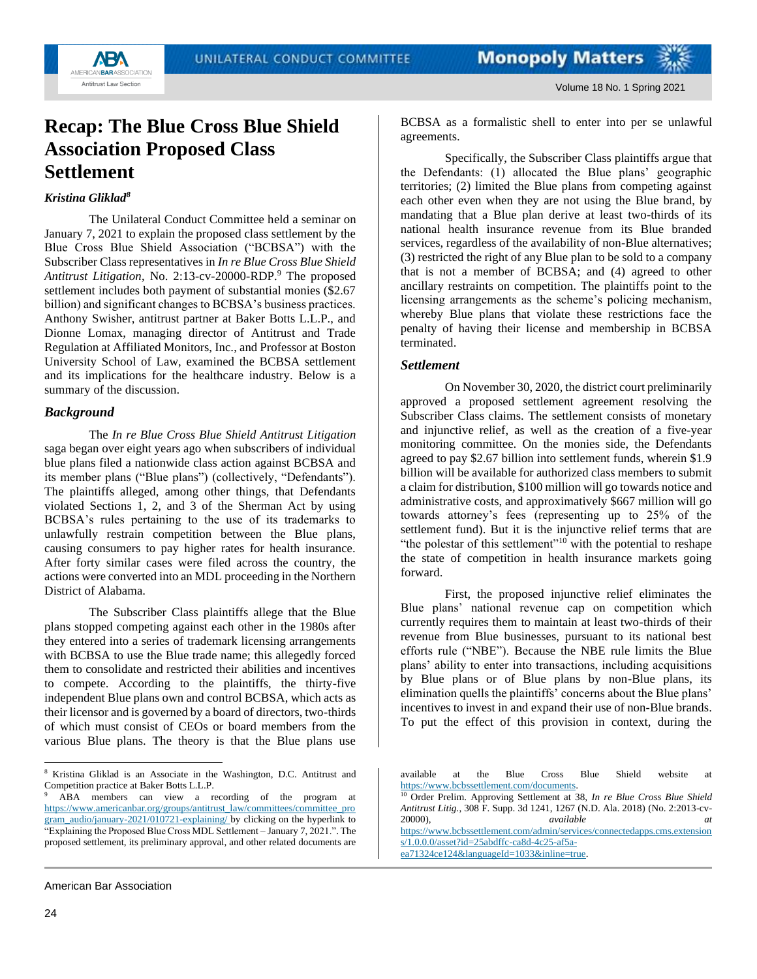



## <span id="page-23-0"></span>**Recap: The Blue Cross Blue Shield Association Proposed Class Settlement**

## *Kristina Gliklad<sup>8</sup>*

The Unilateral Conduct Committee held a seminar on January 7, 2021 to explain the proposed class settlement by the Blue Cross Blue Shield Association ("BCBSA") with the Subscriber Class representatives in *In re Blue Cross Blue Shield Antitrust Litigation*, No. 2:13-cv-20000-RDP.<sup>9</sup> The proposed settlement includes both payment of substantial monies (\$2.67 billion) and significant changes to BCBSA's business practices. Anthony Swisher, antitrust partner at Baker Botts L.L.P., and Dionne Lomax, managing director of Antitrust and Trade Regulation at Affiliated Monitors, Inc., and Professor at Boston University School of Law, examined the BCBSA settlement and its implications for the healthcare industry. Below is a summary of the discussion.

#### *Background*

The *In re Blue Cross Blue Shield Antitrust Litigation* saga began over eight years ago when subscribers of individual blue plans filed a nationwide class action against BCBSA and its member plans ("Blue plans") (collectively, "Defendants"). The plaintiffs alleged, among other things, that Defendants violated Sections 1, 2, and 3 of the Sherman Act by using BCBSA's rules pertaining to the use of its trademarks to unlawfully restrain competition between the Blue plans, causing consumers to pay higher rates for health insurance. After forty similar cases were filed across the country, the actions were converted into an MDL proceeding in the Northern District of Alabama.

The Subscriber Class plaintiffs allege that the Blue plans stopped competing against each other in the 1980s after they entered into a series of trademark licensing arrangements with BCBSA to use the Blue trade name; this allegedly forced them to consolidate and restricted their abilities and incentives to compete. According to the plaintiffs, the thirty-five independent Blue plans own and control BCBSA, which acts as their licensor and is governed by a board of directors, two-thirds of which must consist of CEOs or board members from the various Blue plans. The theory is that the Blue plans use BCBSA as a formalistic shell to enter into per se unlawful agreements.

Specifically, the Subscriber Class plaintiffs argue that the Defendants: (1) allocated the Blue plans' geographic territories; (2) limited the Blue plans from competing against each other even when they are not using the Blue brand, by mandating that a Blue plan derive at least two-thirds of its national health insurance revenue from its Blue branded services, regardless of the availability of non-Blue alternatives; (3) restricted the right of any Blue plan to be sold to a company that is not a member of BCBSA; and (4) agreed to other ancillary restraints on competition. The plaintiffs point to the licensing arrangements as the scheme's policing mechanism, whereby Blue plans that violate these restrictions face the penalty of having their license and membership in BCBSA terminated.

#### *Settlement*

On November 30, 2020, the district court preliminarily approved a proposed settlement agreement resolving the Subscriber Class claims. The settlement consists of monetary and injunctive relief, as well as the creation of a five-year monitoring committee. On the monies side, the Defendants agreed to pay \$2.67 billion into settlement funds, wherein \$1.9 billion will be available for authorized class members to submit a claim for distribution, \$100 million will go towards notice and administrative costs, and approximatively \$667 million will go towards attorney's fees (representing up to 25% of the settlement fund). But it is the injunctive relief terms that are "the polestar of this settlement"<sup>10</sup> with the potential to reshape the state of competition in health insurance markets going forward.

First, the proposed injunctive relief eliminates the Blue plans' national revenue cap on competition which currently requires them to maintain at least two-thirds of their revenue from Blue businesses, pursuant to its national best efforts rule ("NBE"). Because the NBE rule limits the Blue plans' ability to enter into transactions, including acquisitions by Blue plans or of Blue plans by non-Blue plans, its elimination quells the plaintiffs' concerns about the Blue plans' incentives to invest in and expand their use of non-Blue brands. To put the effect of this provision in context, during the

[https://www.bcbssettlement.com/admin/services/connectedapps.cms.extension](https://www.bcbssettlement.com/admin/services/connectedapps.cms.extensions/1.0.0.0/asset?id=25abdffc-ca8d-4c25-af5a-ea71324ce124&languageId=1033&inline=true) [s/1.0.0.0/asset?id=25abdffc-ca8d-4c25-af5a-](https://www.bcbssettlement.com/admin/services/connectedapps.cms.extensions/1.0.0.0/asset?id=25abdffc-ca8d-4c25-af5a-ea71324ce124&languageId=1033&inline=true)

<sup>8</sup> Kristina Gliklad is an Associate in the Washington, D.C. Antitrust and Competition practice at Baker Botts L.L.P.

<sup>9</sup> ABA members can view a recording of the program at [https://www.americanbar.org/groups/antitrust\\_law/committees/committee\\_pro](https://www.americanbar.org/groups/antitrust_law/committees/committee_program_audio/january-2021/010721-explaining/) [gram\\_audio/january-2021/010721-explaining/](https://www.americanbar.org/groups/antitrust_law/committees/committee_program_audio/january-2021/010721-explaining/) by clicking on the hyperlink to "Explaining the Proposed Blue Cross MDL Settlement – January 7, 2021.". The proposed settlement, its preliminary approval, and other related documents are

available at the Blue Cross Blue Shield website at [https://www.bcbssettlement.com/documents.](https://www.bcbssettlement.com/documents) 

<sup>10</sup> Order Prelim. Approving Settlement at 38, *In re Blue Cross Blue Shield Antitrust Litig.*, 308 F. Supp. 3d 1241, 1267 (N.D. Ala. 2018) (No. 2:2013-cv-20000), *available at*

[ea71324ce124&languageId=1033&inline=true.](https://www.bcbssettlement.com/admin/services/connectedapps.cms.extensions/1.0.0.0/asset?id=25abdffc-ca8d-4c25-af5a-ea71324ce124&languageId=1033&inline=true)